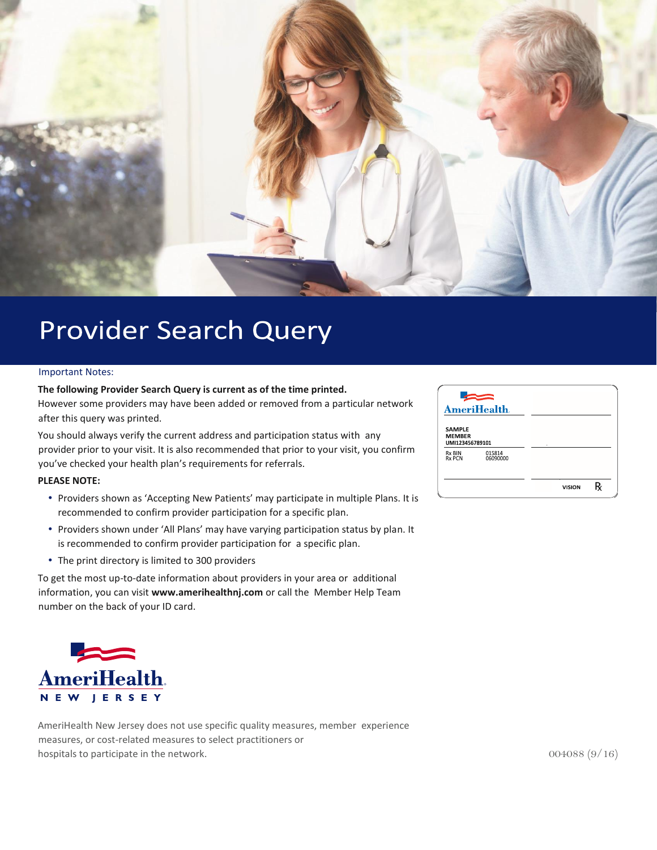

### **Provider Search Query**

#### Important Notes:

#### **The following Provider Search Query is current as of the time printed.**

However some providers may have been added or removed from a particular network after this query was printed.

You should always verify the current address and participation status with any provider prior to your visit. It is also recommended that prior to your visit, you confirm you've checked your health plan's requirements for referrals.

#### **PLEASE NOTE:**

- Providers shown as 'Accepting New Patients' may participate in multiple Plans. It is recommended to confirm provider participation for a specific plan.
- Providers shown under 'All Plans' may have varying participation status by plan. It is recommended to confirm provider participation for a specific plan.
- The print directory is limited to 300 providers

To get the most up-to-date information about providers in your area or additional information, you can visit **www.amerihealthnj.com** or call the Member Help Team number on the back of your ID card.



AmeriHealth New Jersey does not use specific quality measures, member experience measures, or cost-related measures to select practitioners or hospitals to participate in the network.  $004088 (9/16)$ 

|                                                   | <b>AmeriHealth</b> . |  |  |
|---------------------------------------------------|----------------------|--|--|
| <b>SAMPLE</b><br><b>MEMBER</b><br>UMI123456789101 |                      |  |  |
| Rx BIN<br><b>Rx PCN</b>                           | 015814<br>06090000   |  |  |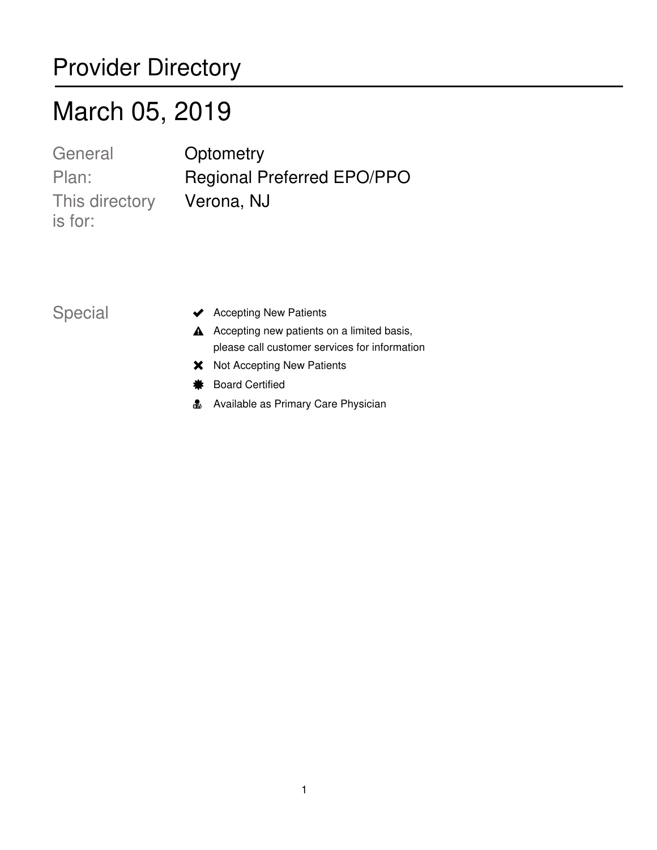### Provider Directory

## March 05, 2019

This directory Verona, NJ is for: General **Optometry** 

Plan: Regional Preferred EPO/PPO

- Special vertex Accepting New Patients
	- $\triangle$  Accepting new patients on a limited basis, please call customer services for information
	- **X** Not Accepting New Patients
	- $*$  Board Certified
	- **A** Available as Primary Care Physician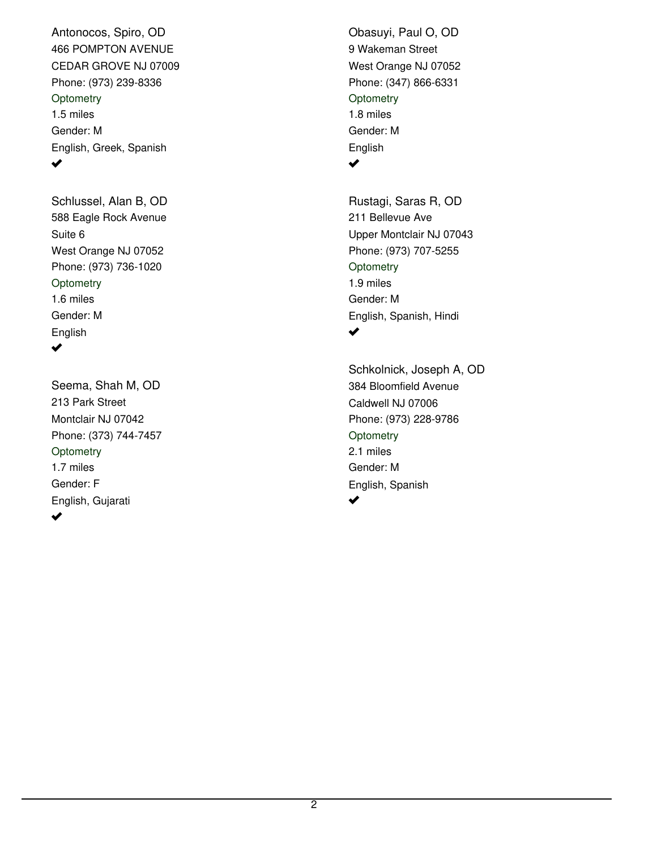466 POMPTON AVENUE CEDAR GROVE NJ 07009 Phone: (973) 239-8336 Antonocos, Spiro, OD 1.5 miles Gender: M English, Greek, Spanish **Optometry** ✔

588 Eagle Rock Avenue West Orange NJ 07052 Phone: (973) 736-1020 Schlussel, Alan B, OD 1.6 miles Gender: M English Suite 6 **Optometry**  $\blacktriangledown$ 

213 Park Street Montclair NJ 07042 Phone: (373) 744-7457 Seema, Shah M, OD 1.7 miles Gender: F English, Gujarati **Optometry** ✔

9 Wakeman Street West Orange NJ 07052 Phone: (347) 866-6331 Obasuyi, Paul O, OD 1.8 miles Gender: M English **Optometry**  $\blacktriangledown$ 

211 Bellevue Ave Upper Montclair NJ 07043 Phone: (973) 707-5255 Rustagi, Saras R, OD 1.9 miles Gender: M English, Spanish, Hindi **Optometry** ✔

384 Bloomfield Avenue Caldwell NJ 07006 Phone: (973) 228-9786 Schkolnick, Joseph A, OD 2.1 miles Gender: M English, Spanish **Optometry** مہ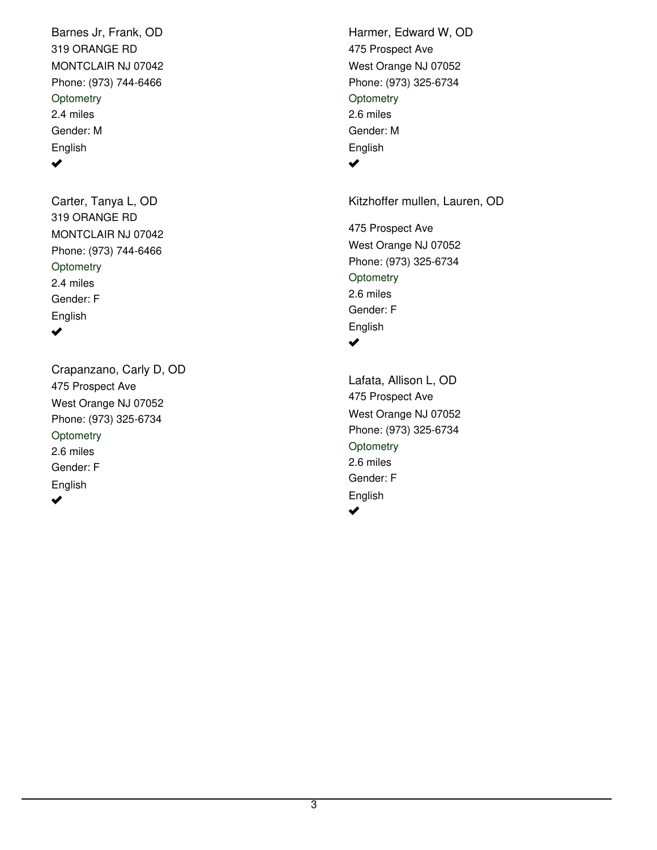319 ORANGE RD MONTCLAIR NJ 07042 Phone: (973) 744-6466 Barnes Jr, Frank, OD 2.4 miles Gender: M English **Optometry**  $\blacktriangledown$ 

319 ORANGE RD MONTCLAIR NJ 07042 Phone: (973) 744-6466 Carter, Tanya L, OD 2.4 miles Gender: F English **Optometry**  $\blacktriangledown$ 

475 Prospect Ave West Orange NJ 07052 Phone: (973) 325-6734 Crapanzano, Carly D, OD 2.6 miles Gender: F English **Optometry** ✔

475 Prospect Ave West Orange NJ 07052 Phone: (973) 325-6734 Harmer, Edward W, OD 2.6 miles Gender: M English **Optometry**  $\blacktriangledown$ 

Kitzhoffer mullen, Lauren, OD

475 Prospect Ave West Orange NJ 07052 Phone: (973) 325-6734 2.6 miles Gender: F English **Optometry**  $\blacktriangledown$ 

475 Prospect Ave West Orange NJ 07052 Phone: (973) 325-6734 Lafata, Allison L, OD 2.6 miles Gender: F English **Optometry**  $\blacktriangleright$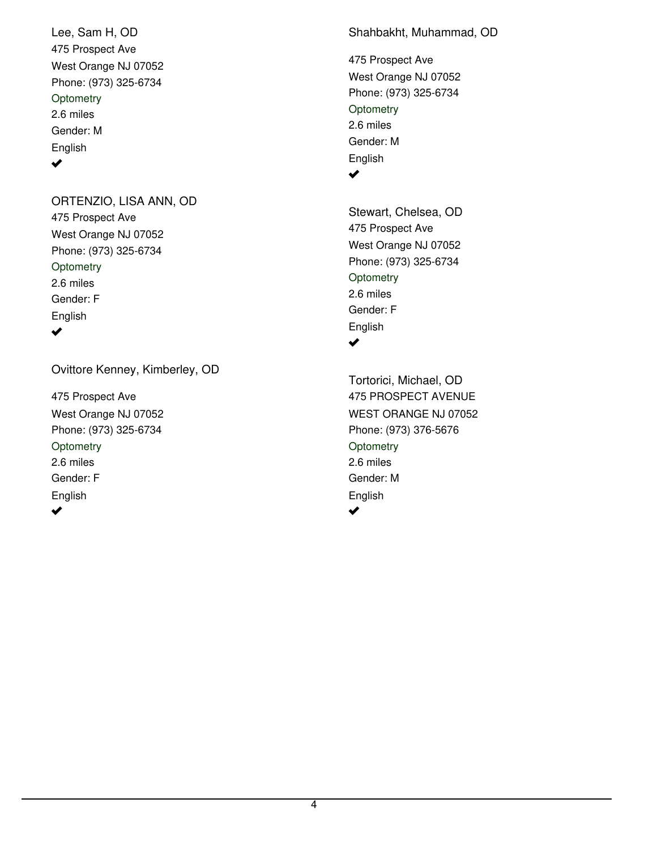475 Prospect Ave West Orange NJ 07052 Phone: (973) 325-6734 Lee, Sam H, OD 2.6 miles Gender: M English **Optometry**  $\blacktriangledown$ 

475 Prospect Ave West Orange NJ 07052 Phone: (973) 325-6734 ORTENZIO, LISA ANN, OD 2.6 miles Gender: F English **Optometry**  $\blacktriangledown$ 

Ovittore Kenney, Kimberley, OD

475 Prospect Ave West Orange NJ 07052 Phone: (973) 325-6734 2.6 miles Gender: F English **Optometry** 

 $\blacktriangleright$ 

Shahbakht, Muhammad, OD

475 Prospect Ave West Orange NJ 07052 Phone: (973) 325-6734 2.6 miles Gender: M English **Optometry**  $\blacktriangledown$ 

475 Prospect Ave West Orange NJ 07052 Phone: (973) 325-6734 Stewart, Chelsea, OD 2.6 miles Gender: F English **Optometry**  $\blacktriangledown$ 

475 PROSPECT AVENUE WEST ORANGE NJ 07052 Phone: (973) 376-5676 Tortorici, Michael, OD 2.6 miles Gender: M English **Optometry**  $\blacktriangleright$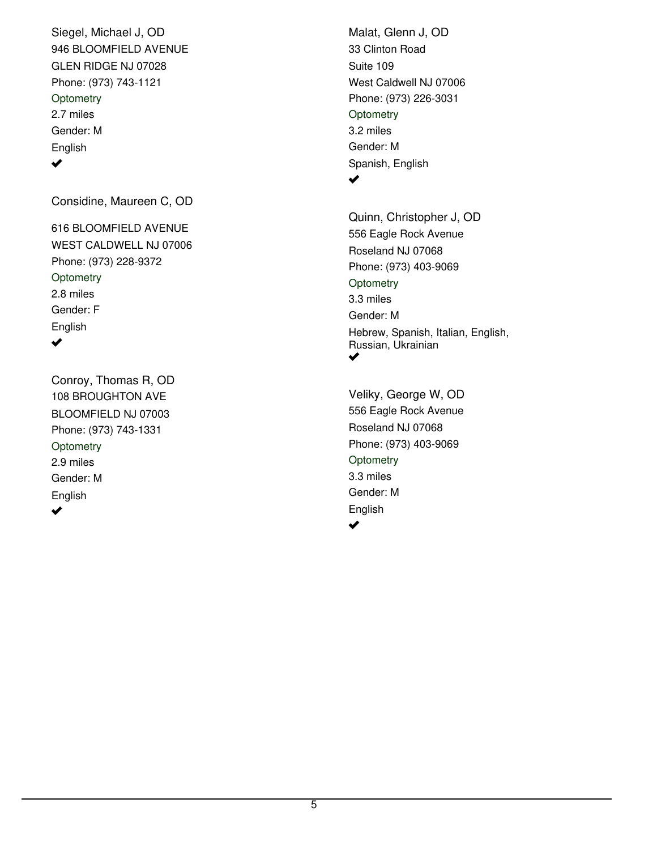946 BLOOMFIELD AVENUE GLEN RIDGE NJ 07028 Phone: (973) 743-1121 Siegel, Michael J, OD 2.7 miles Gender: M English **Optometry** ✔

Considine, Maureen C, OD

616 BLOOMFIELD AVENUE WEST CALDWELL NJ 07006 Phone: (973) 228-9372 2.8 miles Gender: F English **Optometry** ✔

108 BROUGHTON AVE BLOOMFIELD NJ 07003 Phone: (973) 743-1331 Conroy, Thomas R, OD 2.9 miles Gender: M English **Optometry** 

 $\blacktriangleright$ 

33 Clinton Road West Caldwell NJ 07006 Phone: (973) 226-3031 Malat, Glenn J, OD 3.2 miles Gender: M Spanish, English Suite 109 **Optometry** 

 $\blacktriangledown$ 

556 Eagle Rock Avenue Roseland NJ 07068 Phone: (973) 403-9069 Quinn, Christopher J, OD 3.3 miles Gender: M Hebrew, Spanish, Italian, English, Russian, Ukrainian **Optometry**  $\blacktriangledown$ 

556 Eagle Rock Avenue Roseland NJ 07068 Phone: (973) 403-9069 Veliky, George W, OD 3.3 miles Gender: M English **Optometry** مہ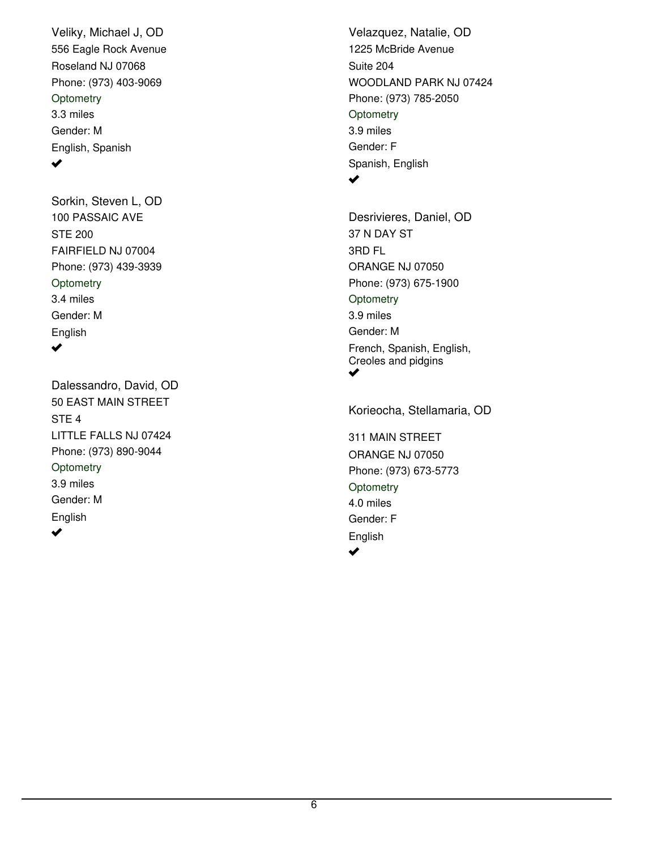556 Eagle Rock Avenue Roseland NJ 07068 Phone: (973) 403-9069 Veliky, Michael J, OD 3.3 miles Gender: M English, Spanish **Optometry** ✔

100 PASSAIC AVE FAIRFIELD NJ 07004 Phone: (973) 439-3939 Sorkin, Steven L, OD 3.4 miles Gender: M English STE 200 **Optometry**  $\blacktriangledown$ 

50 EAST MAIN STREET LITTLE FALLS NJ 07424 Phone: (973) 890-9044 Dalessandro, David, OD 3.9 miles Gender: M English STE 4 **Optometry**  $\blacktriangledown$ 

1225 McBride Avenue WOODLAND PARK NJ 07424 Phone: (973) 785-2050 Velazquez, Natalie, OD 3.9 miles Gender: F Spanish, English Suite 204 **Optometry** 

#### $\blacktriangledown$

37 N DAY ST ORANGE NJ 07050 Phone: (973) 675-1900 Desrivieres, Daniel, OD 3.9 miles Gender: M French, Spanish, English, Creoles and pidgins 3RD FL **Optometry** ✔

311 MAIN STREET ORANGE NJ 07050 Phone: (973) 673-5773 Korieocha, Stellamaria, OD

4.0 miles Gender: F English **Optometry**  $\blacktriangledown$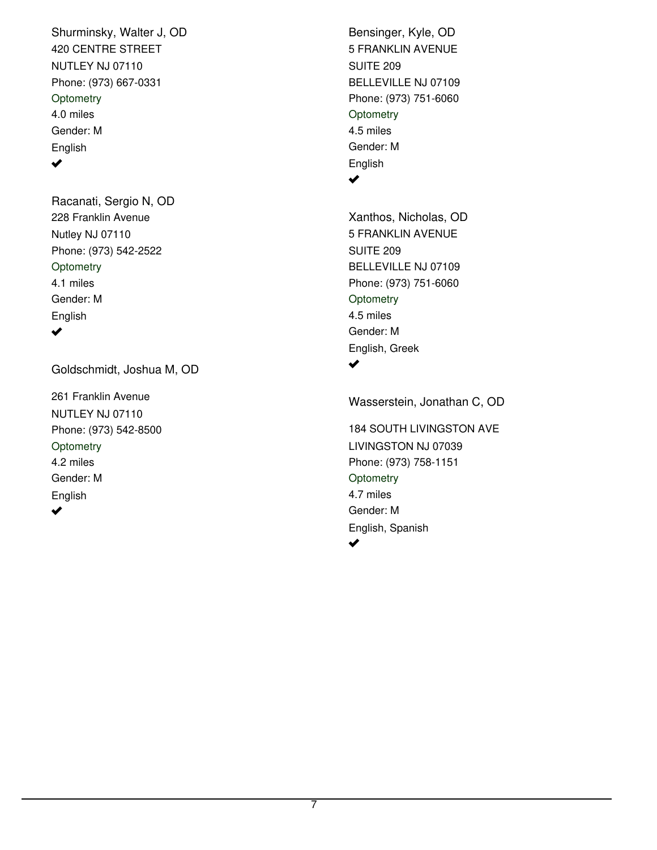420 CENTRE STREET NUTLEY NJ 07110 Phone: (973) 667-0331 Shurminsky, Walter J, OD 4.0 miles Gender: M English **Optometry**  $\blacktriangledown$ 

228 Franklin Avenue Nutley NJ 07110 Phone: (973) 542-2522 Racanati, Sergio N, OD 4.1 miles Gender: M English **Optometry**  $\blacktriangledown$ 

Goldschmidt, Joshua M, OD

261 Franklin Avenue NUTLEY NJ 07110 Phone: (973) 542-8500 4.2 miles Gender: M English **Optometry**  $\blacktriangleright$ 

5 FRANKLIN AVENUE BELLEVILLE NJ 07109 Phone: (973) 751-6060 Bensinger, Kyle, OD 4.5 miles Gender: M English SUITE 209 **Optometry** 

 $\blacktriangledown$ 

5 FRANKLIN AVENUE BELLEVILLE NJ 07109 Phone: (973) 751-6060 Xanthos, Nicholas, OD 4.5 miles Gender: M English, Greek SUITE 209 **Optometry** ✔

Wasserstein, Jonathan C, OD

184 SOUTH LIVINGSTON AVE LIVINGSTON NJ 07039 Phone: (973) 758-1151 4.7 miles Gender: M English, Spanish **Optometry**  $\blacktriangledown$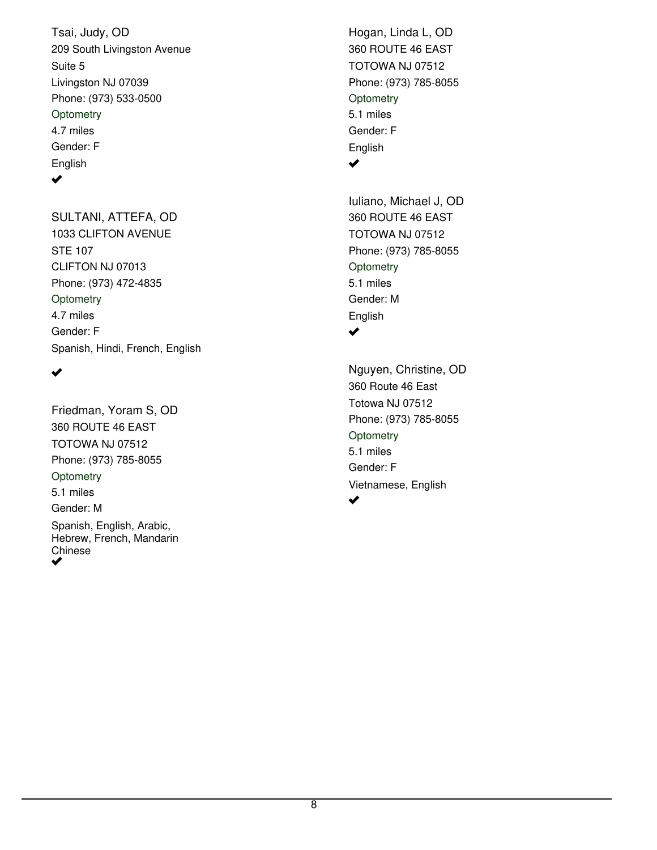209 South Livingston Avenue Livingston NJ 07039 Phone: (973) 533-0500 Tsai, Judy, OD 4.7 miles Gender: F English Suite 5 **Optometry**  $\blacktriangledown$ 

1033 CLIFTON AVENUE CLIFTON NJ 07013 Phone: (973) 472-4835 SULTANI, ATTEFA, OD 4.7 miles Gender: F Spanish, Hindi, French, English STE 107 **Optometry** 

 $\blacktriangledown$ 

360 ROUTE 46 EAST TOTOWA NJ 07512 Phone: (973) 785-8055 Friedman, Yoram S, OD 5.1 miles Gender: M Spanish, English, Arabic, Hebrew, French, Mandarin Chinese **Optometry** ✔

360 ROUTE 46 EAST TOTOWA NJ 07512 Phone: (973) 785-8055 Hogan, Linda L, OD 5.1 miles Gender: F English **Optometry**  $\blacktriangledown$ 

360 ROUTE 46 EAST TOTOWA NJ 07512 Phone: (973) 785-8055 Iuliano, Michael J, OD 5.1 miles Gender: M English **Optometry** ✔

360 Route 46 East Totowa NJ 07512 Phone: (973) 785-8055 Nguyen, Christine, OD 5.1 miles Gender: F Vietnamese, English **Optometry** ✔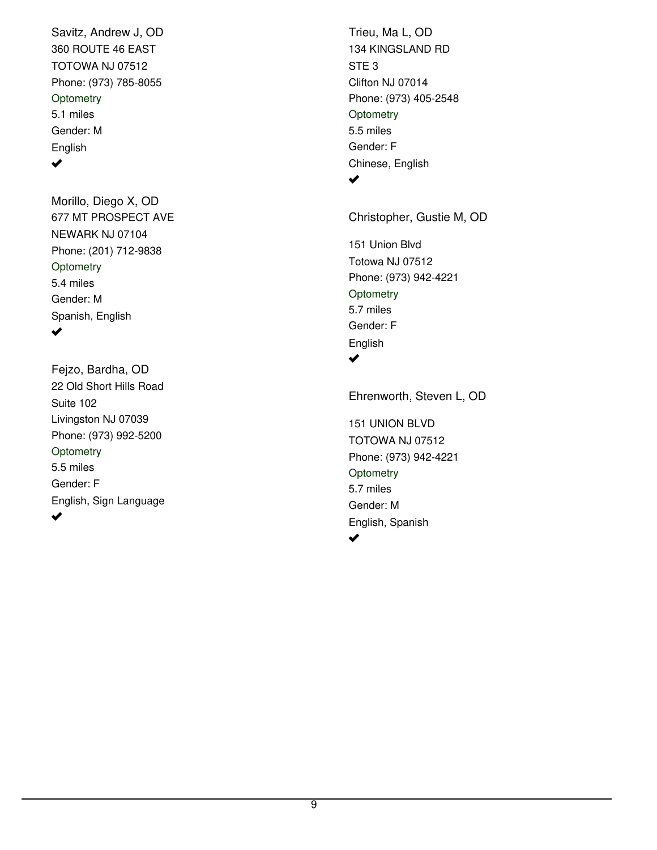360 ROUTE 46 EAST TOTOWA NJ 07512 Phone: (973) 785-8055 Savitz, Andrew J, OD 5.1 miles Gender: M English **Optometry**  $\blacktriangledown$ 

677 MT PROSPECT AVE NEWARK NJ 07104 Phone: (201) 712-9838 Morillo, Diego X, OD 5.4 miles Gender: M Spanish, English **Optometry** ✔

22 Old Short Hills Road Livingston NJ 07039 Phone: (973) 992-5200 Fejzo, Bardha, OD 5.5 miles Gender: F English, Sign Language Suite 102 **Optometry**  $\blacktriangleright$ 

134 KINGSLAND RD Clifton NJ 07014 Phone: (973) 405-2548 Trieu, Ma L, OD 5.5 miles Gender: F Chinese, English STE 3 **Optometry**  $\blacktriangledown$ 

Christopher, Gustie M, OD

151 Union Blvd Totowa NJ 07512 Phone: (973) 942-4221 5.7 miles Gender: F English **Optometry**  $\blacktriangledown$ 

151 UNION BLVD TOTOWA NJ 07512 Phone: (973) 942-4221 Ehrenworth, Steven L, OD 5.7 miles Gender: M English, Spanish **Optometry**  $\blacktriangledown$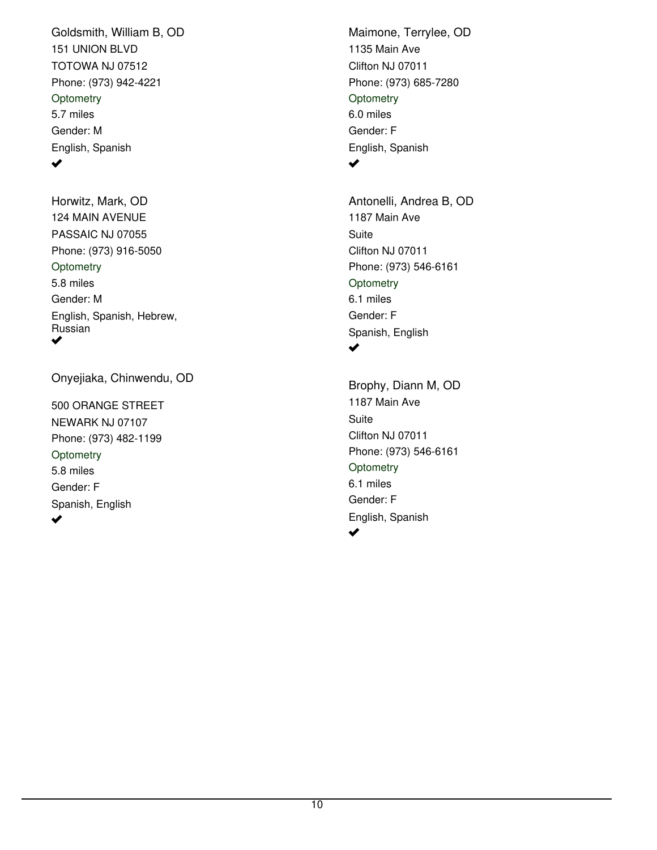151 UNION BLVD TOTOWA NJ 07512 Phone: (973) 942-4221 Goldsmith, William B, OD 5.7 miles Gender: M English, Spanish **Optometry** ✔

124 MAIN AVENUE PASSAIC NJ 07055 Phone: (973) 916-5050 Horwitz, Mark, OD 5.8 miles Gender: M English, Spanish, Hebrew, Russian **Optometry** ✔

Onyejiaka, Chinwendu, OD

500 ORANGE STREET NEWARK NJ 07107 Phone: (973) 482-1199 5.8 miles Gender: F Spanish, English **Optometry**  $\blacktriangledown$ 

1135 Main Ave Clifton NJ 07011 Phone: (973) 685-7280 Maimone, Terrylee, OD 6.0 miles Gender: F English, Spanish **Optometry**  $\blacktriangledown$ 

1187 Main Ave Clifton NJ 07011 Phone: (973) 546-6161 Antonelli, Andrea B, OD 6.1 miles Gender: F Spanish, English Suite **Optometry**  $\blacktriangledown$ 

1187 Main Ave Clifton NJ 07011 Phone: (973) 546-6161 Brophy, Diann M, OD 6.1 miles Gender: F English, Spanish **Suite Optometry**  $\blacktriangledown$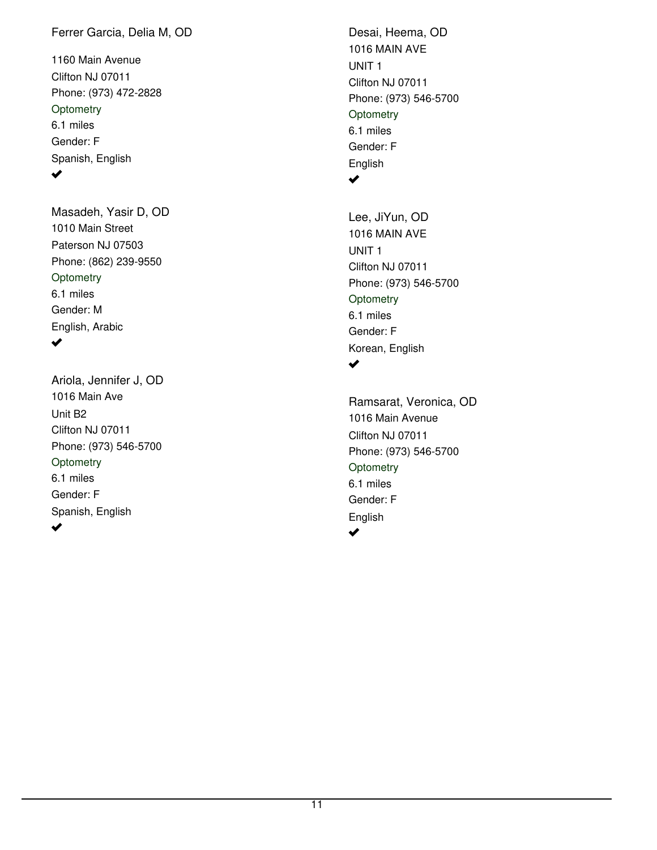#### Ferrer Garcia, Delia M, OD

1160 Main Avenue Clifton NJ 07011 Phone: (973) 472-2828 6.1 miles Gender: F Spanish, English **Optometry**  $\blacktriangledown$ 

1010 Main Street Paterson NJ 07503 Phone: (862) 239-9550 Masadeh, Yasir D, OD 6.1 miles Gender: M English, Arabic **Optometry** 

#### $\blacktriangledown$

1016 Main Ave Clifton NJ 07011 Phone: (973) 546-5700 Ariola, Jennifer J, OD 6.1 miles Gender: F Spanish, English Unit B2 **Optometry** ✔

1016 MAIN AVE Clifton NJ 07011 Phone: (973) 546-5700 Desai, Heema, OD 6.1 miles Gender: F English UNIT 1 **Optometry**  $\blacktriangledown$ 

1016 MAIN AVE Clifton NJ 07011 Phone: (973) 546-5700 Lee, JiYun, OD 6.1 miles Gender: F Korean, English UNIT 1 **Optometry**  $\blacktriangledown$ 

1016 Main Avenue Clifton NJ 07011 Phone: (973) 546-5700 Ramsarat, Veronica, OD 6.1 miles Gender: F English **Optometry**  $\blacktriangledown$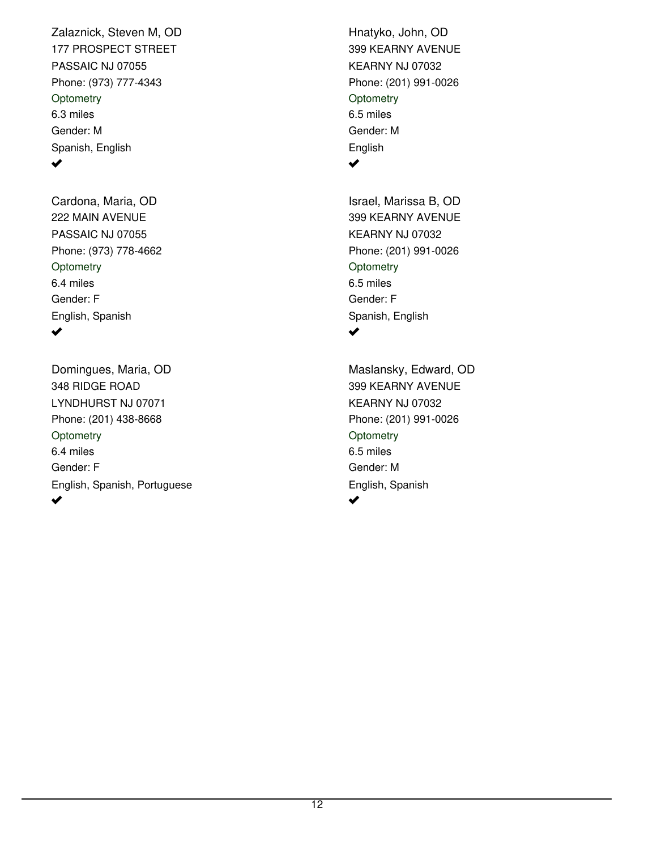177 PROSPECT STREET PASSAIC NJ 07055 Phone: (973) 777-4343 Zalaznick, Steven M, OD 6.3 miles Gender: M Spanish, English **Optometry** ✔

222 MAIN AVENUE PASSAIC NJ 07055 Phone: (973) 778-4662 Cardona, Maria, OD 6.4 miles Gender: F English, Spanish **Optometry** ✔

348 RIDGE ROAD LYNDHURST NJ 07071 Phone: (201) 438-8668 Domingues, Maria, OD 6.4 miles Gender: F English, Spanish, Portuguese **Optometry** ✔

399 KEARNY AVENUE KEARNY NJ 07032 Phone: (201) 991-0026 Hnatyko, John, OD 6.5 miles Gender: M English **Optometry**  $\blacktriangledown$ 

399 KEARNY AVENUE KEARNY NJ 07032 Phone: (201) 991-0026 Israel, Marissa B, OD 6.5 miles Gender: F Spanish, English **Optometry** مہ

399 KEARNY AVENUE KEARNY NJ 07032 Phone: (201) 991-0026 Maslansky, Edward, OD 6.5 miles Gender: M English, Spanish **Optometry** مہ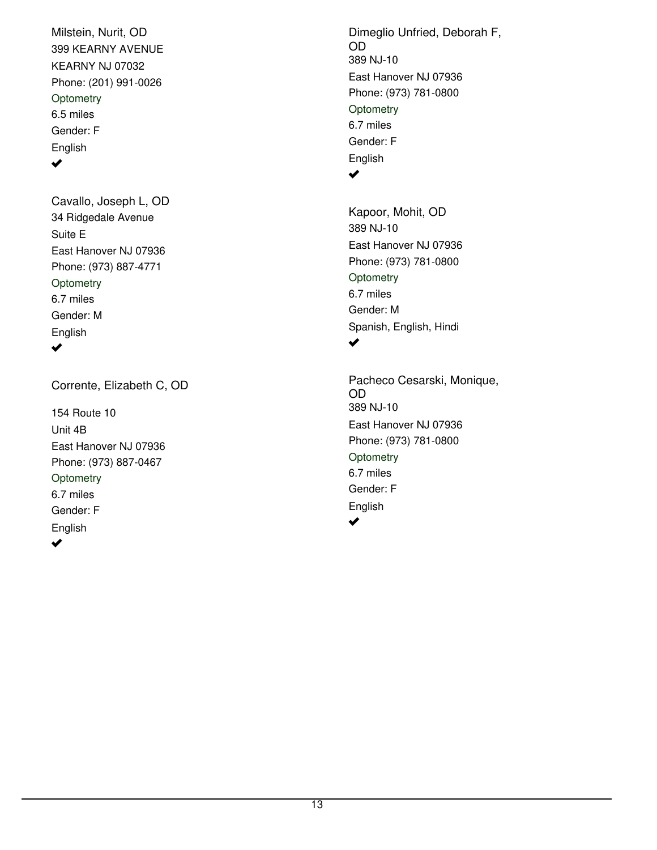399 KEARNY AVENUE KEARNY NJ 07032 Phone: (201) 991-0026 Milstein, Nurit, OD 6.5 miles Gender: F English **Optometry** ✔

34 Ridgedale Avenue East Hanover NJ 07936 Phone: (973) 887-4771 Cavallo, Joseph L, OD 6.7 miles Gender: M English Suite E **Optometry**  $\blacktriangledown$ 

Corrente, Elizabeth C, OD

154 Route 10 East Hanover NJ 07936 Phone: (973) 887-0467 6.7 miles Gender: F English Unit 4B **Optometry**  $\blacktriangledown$ 

389 NJ-10 East Hanover NJ 07936 Phone: (973) 781-0800 Dimeglio Unfried, Deborah F, OD 6.7 miles Gender: F English **Optometry**  $\blacktriangledown$ 

389 NJ-10 East Hanover NJ 07936 Phone: (973) 781-0800 Kapoor, Mohit, OD 6.7 miles Gender: M Spanish, English, Hindi **Optometry** ✔

389 NJ-10 East Hanover NJ 07936 Phone: (973) 781-0800 Pacheco Cesarski, Monique, OD 6.7 miles Gender: F English **Optometry**  $\blacktriangleright$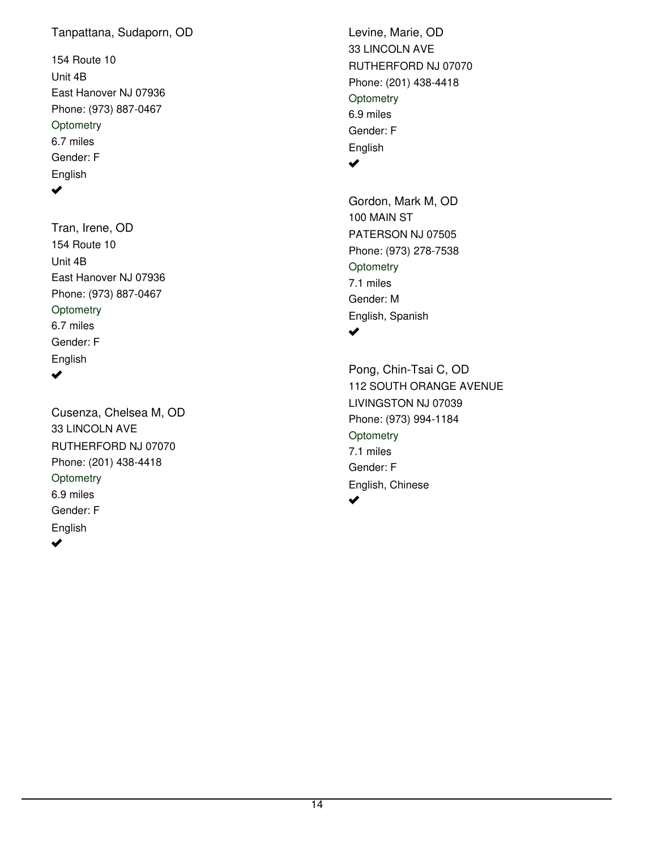### Tanpattana, Sudaporn, OD

154 Route 10 East Hanover NJ 07936 Phone: (973) 887-0467 6.7 miles Gender: F English Unit 4B **Optometry**  $\blacktriangledown$ 

154 Route 10 East Hanover NJ 07936 Phone: (973) 887-0467 Tran, Irene, OD 6.7 miles Gender: F English Unit 4B **Optometry** 

 $\blacktriangleright$ 

33 LINCOLN AVE RUTHERFORD NJ 07070 Phone: (201) 438-4418 Cusenza, Chelsea M, OD 6.9 miles Gender: F English **Optometry**  $\blacktriangledown$ 

33 LINCOLN AVE RUTHERFORD NJ 07070 Phone: (201) 438-4418 Levine, Marie, OD 6.9 miles Gender: F English **Optometry**  $\blacktriangledown$ 

100 MAIN ST PATERSON NJ 07505 Phone: (973) 278-7538 Gordon, Mark M, OD 7.1 miles Gender: M English, Spanish **Optometry** ✔

112 SOUTH ORANGE AVENUE LIVINGSTON NJ 07039 Phone: (973) 994-1184 Pong, Chin-Tsai C, OD 7.1 miles Gender: F English, Chinese **Optometry** ✔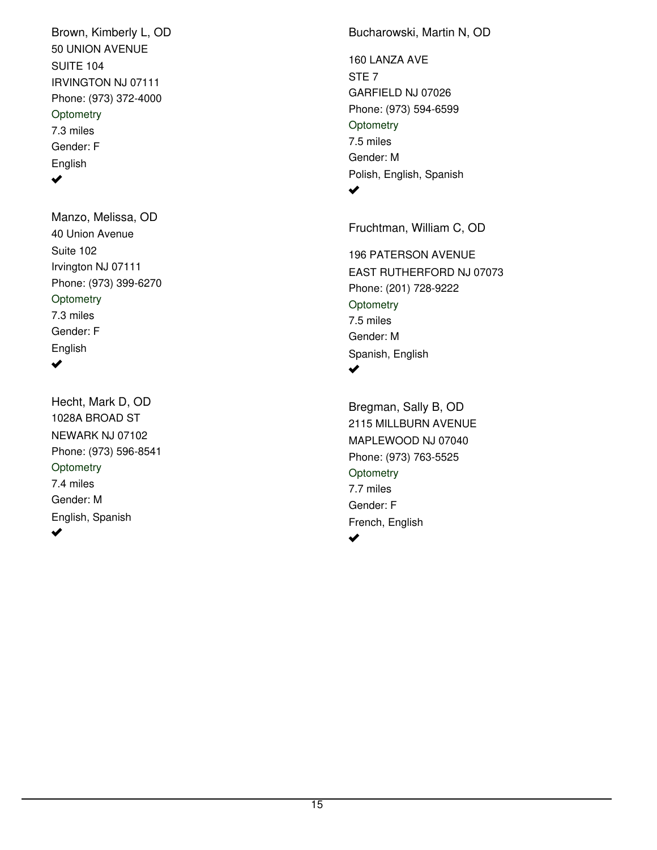50 UNION AVENUE IRVINGTON NJ 07111 Phone: (973) 372-4000 Brown, Kimberly L, OD 7.3 miles Gender: F English SUITE 104 **Optometry**  $\blacktriangledown$ 

40 Union Avenue Irvington NJ 07111 Phone: (973) 399-6270 Manzo, Melissa, OD 7.3 miles Gender: F English Suite 102 **Optometry** ✔

#### 1028A BROAD ST NEWARK NJ 07102 Phone: (973) 596-8541 Hecht, Mark D, OD 7.4 miles Gender: M English, Spanish **Optometry**  $\blacktriangledown$

Bucharowski, Martin N, OD

160 LANZA AVE GARFIELD NJ 07026 Phone: (973) 594-6599 7.5 miles Gender: M Polish, English, Spanish STE 7 **Optometry**  $\blacktriangledown$ 

Fruchtman, William C, OD

196 PATERSON AVENUE EAST RUTHERFORD NJ 07073 Phone: (201) 728-9222 7.5 miles Gender: M Spanish, English **Optometry**  $\blacktriangledown$ 

2115 MILLBURN AVENUE MAPLEWOOD NJ 07040 Phone: (973) 763-5525 Bregman, Sally B, OD 7.7 miles Gender: F French, English **Optometry**  $\blacktriangledown$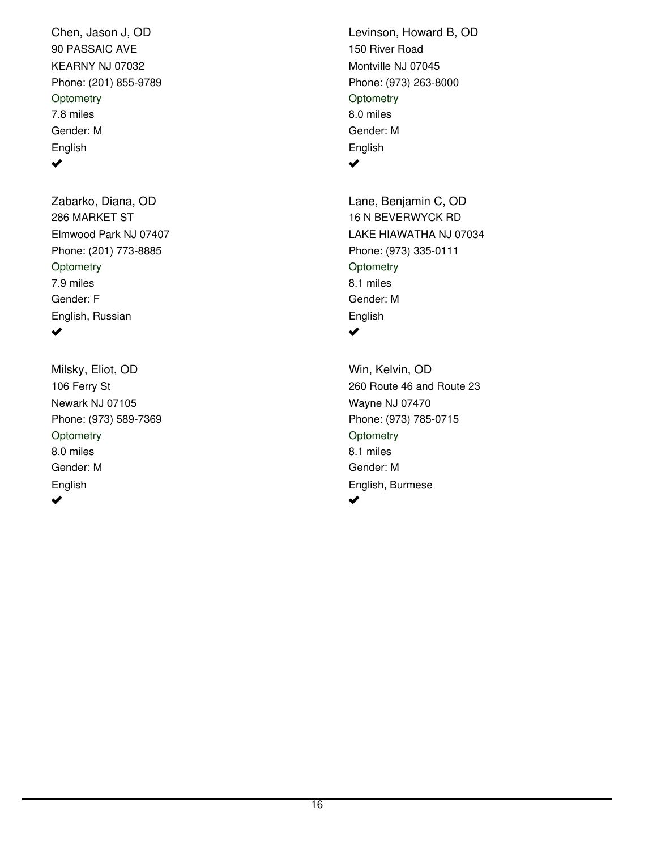90 PASSAIC AVE KEARNY NJ 07032 Phone: (201) 855-9789 Chen, Jason J, OD 7.8 miles Gender: M English **Optometry**  $\blacktriangledown$ 

286 MARKET ST Elmwood Park NJ 07407 Phone: (201) 773-8885 Zabarko, Diana, OD 7.9 miles Gender: F English, Russian **Optometry**  $\blacktriangledown$ 

106 Ferry St Newark NJ 07105 Phone: (973) 589-7369 Milsky, Eliot, OD 8.0 miles Gender: M English **Optometry** ✔

150 River Road Montville NJ 07045 Phone: (973) 263-8000 Levinson, Howard B, OD 8.0 miles Gender: M English **Optometry**  $\blacktriangledown$ 

16 N BEVERWYCK RD LAKE HIAWATHA NJ 07034 Phone: (973) 335-0111 Lane, Benjamin C, OD 8.1 miles Gender: M English **Optometry**  $\blacktriangledown$ 

260 Route 46 and Route 23 Wayne NJ 07470 Phone: (973) 785-0715 Win, Kelvin, OD 8.1 miles Gender: M English, Burmese **Optometry** ✔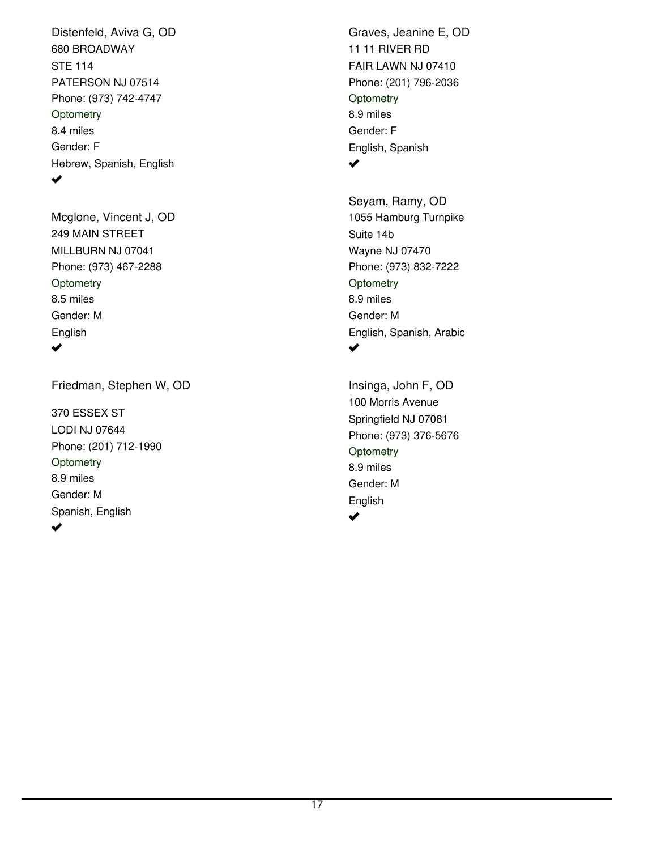680 BROADWAY PATERSON NJ 07514 Phone: (973) 742-4747 Distenfeld, Aviva G, OD 8.4 miles Gender: F Hebrew, Spanish, English STE 114 **Optometry**  $\blacktriangledown$ 

249 MAIN STREET MILLBURN NJ 07041 Phone: (973) 467-2288 Mcglone, Vincent J, OD 8.5 miles Gender: M English **Optometry**  $\blacktriangledown$ 

Friedman, Stephen W, OD

370 ESSEX ST LODI NJ 07644 Phone: (201) 712-1990 8.9 miles Gender: M Spanish, English **Optometry** ✔

11 11 RIVER RD FAIR LAWN NJ 07410 Phone: (201) 796-2036 Graves, Jeanine E, OD 8.9 miles Gender: F English, Spanish **Optometry**  $\blacktriangledown$ 

1055 Hamburg Turnpike Wayne NJ 07470 Phone: (973) 832-7222 Seyam, Ramy, OD 8.9 miles Gender: M English, Spanish, Arabic Suite 14b **Optometry**  $\blacktriangledown$ 

100 Morris Avenue Springfield NJ 07081 Phone: (973) 376-5676 Insinga, John F, OD 8.9 miles Gender: M English **Optometry**  $\blacktriangleright$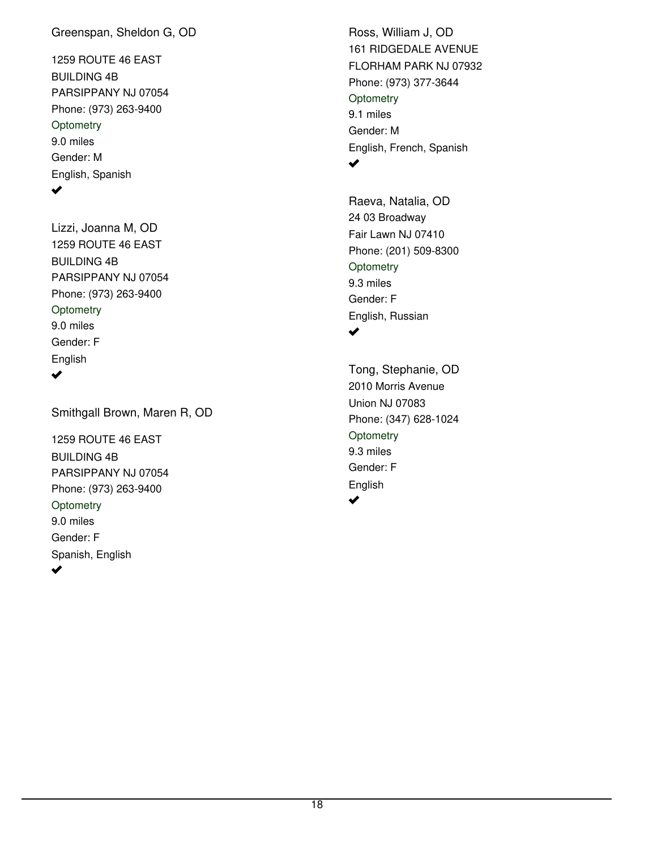#### Greenspan, Sheldon G, OD

1259 ROUTE 46 EAST PARSIPPANY NJ 07054 Phone: (973) 263-9400 9.0 miles Gender: M English, Spanish BUILDING 4B **Optometry**  $\blacktriangledown$ 

1259 ROUTE 46 EAST PARSIPPANY NJ 07054 Phone: (973) 263-9400 Lizzi, Joanna M, OD 9.0 miles Gender: F English BUILDING 4B **Optometry**  $\blacktriangleright$ 

Smithgall Brown, Maren R, OD

1259 ROUTE 46 EAST PARSIPPANY NJ 07054 Phone: (973) 263-9400 9.0 miles Gender: F Spanish, English BUILDING 4B **Optometry** ✔

161 RIDGEDALE AVENUE FLORHAM PARK NJ 07932 Phone: (973) 377-3644 Ross, William J, OD 9.1 miles Gender: M English, French, Spanish **Optometry**  $\blacktriangledown$ 

24 03 Broadway Fair Lawn NJ 07410 Phone: (201) 509-8300 Raeva, Natalia, OD 9.3 miles Gender: F English, Russian **Optometry** ✔

2010 Morris Avenue Union NJ 07083 Phone: (347) 628-1024 Tong, Stephanie, OD 9.3 miles Gender: F English **Optometry** مہ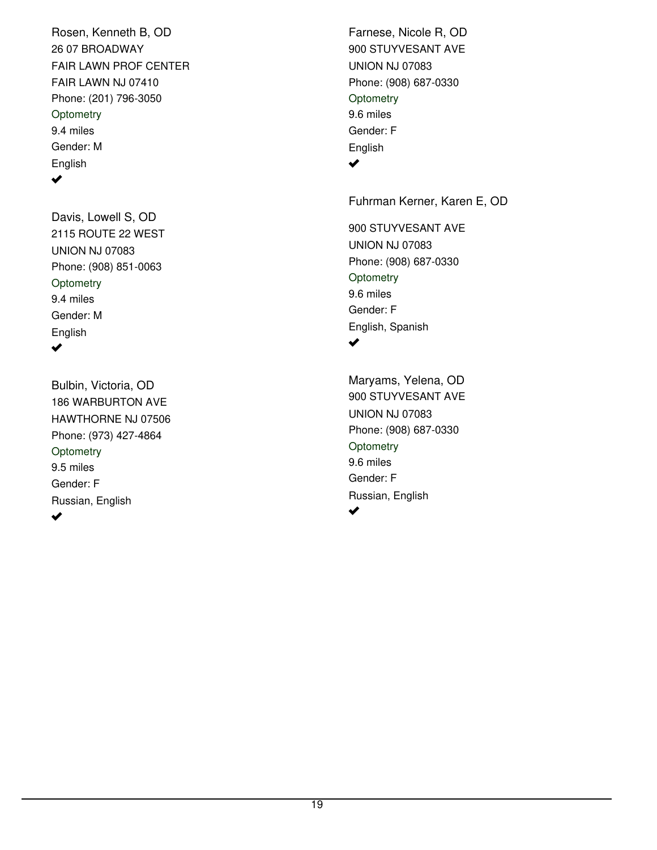26 07 BROADWAY FAIR LAWN NJ 07410 Phone: (201) 796-3050 Rosen, Kenneth B, OD 9.4 miles Gender: M English FAIR LAWN PROF CENTER **Optometry**  $\blacktriangledown$ 

2115 ROUTE 22 WEST UNION NJ 07083 Phone: (908) 851-0063 Davis, Lowell S, OD 9.4 miles Gender: M English **Optometry**  $\blacktriangledown$ 

186 WARBURTON AVE HAWTHORNE NJ 07506 Phone: (973) 427-4864 Bulbin, Victoria, OD 9.5 miles Gender: F Russian, English **Optometry** 

900 STUYVESANT AVE UNION NJ 07083 Phone: (908) 687-0330 Farnese, Nicole R, OD 9.6 miles Gender: F English **Optometry**  $\blacktriangledown$ 

Fuhrman Kerner, Karen E, OD

900 STUYVESANT AVE UNION NJ 07083 Phone: (908) 687-0330 9.6 miles Gender: F English, Spanish **Optometry**  $\blacktriangledown$ 

900 STUYVESANT AVE UNION NJ 07083 Phone: (908) 687-0330 Maryams, Yelena, OD 9.6 miles Gender: F Russian, English **Optometry**  $\overline{\mathbf{v}}$ 

 $\blacktriangledown$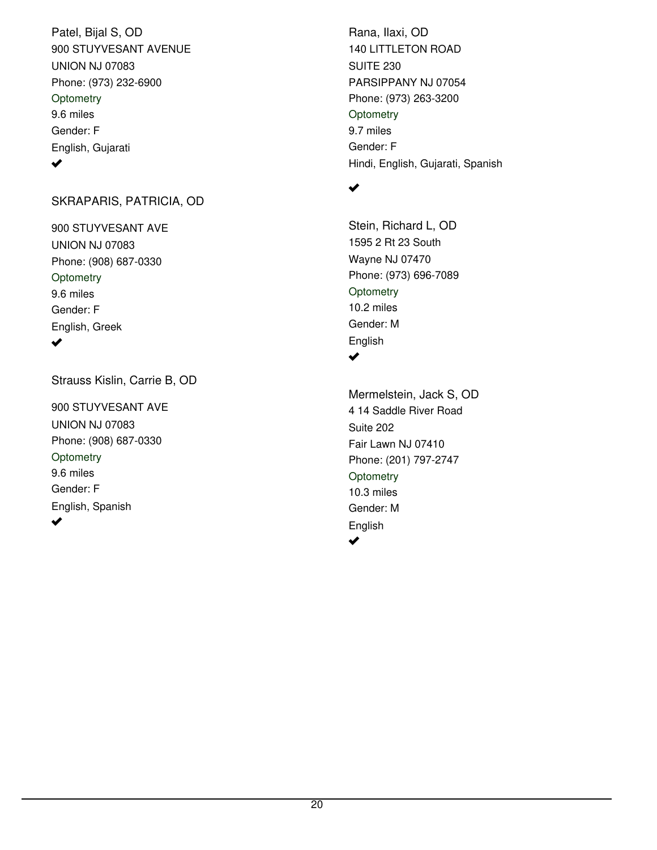900 STUYVESANT AVENUE UNION NJ 07083 Phone: (973) 232-6900 Patel, Bijal S, OD 9.6 miles Gender: F English, Gujarati **Optometry** ✔

#### SKRAPARIS, PATRICIA, OD

900 STUYVESANT AVE UNION NJ 07083 Phone: (908) 687-0330 9.6 miles Gender: F English, Greek **Optometry** ✔

Strauss Kislin, Carrie B, OD

900 STUYVESANT AVE UNION NJ 07083 Phone: (908) 687-0330 9.6 miles Gender: F English, Spanish **Optometry** ✔

140 LITTLETON ROAD PARSIPPANY NJ 07054 Phone: (973) 263-3200 Rana, Ilaxi, OD 9.7 miles Gender: F Hindi, English, Gujarati, Spanish SUITE 230 **Optometry** 

#### $\blacktriangledown$

✔

1595 2 Rt 23 South Wayne NJ 07470 Phone: (973) 696-7089 Stein, Richard L, OD 10.2 miles Gender: M English **Optometry**  $\blacktriangledown$ 

4 14 Saddle River Road Fair Lawn NJ 07410 Phone: (201) 797-2747 Mermelstein, Jack S, OD 10.3 miles Gender: M English Suite 202 **Optometry**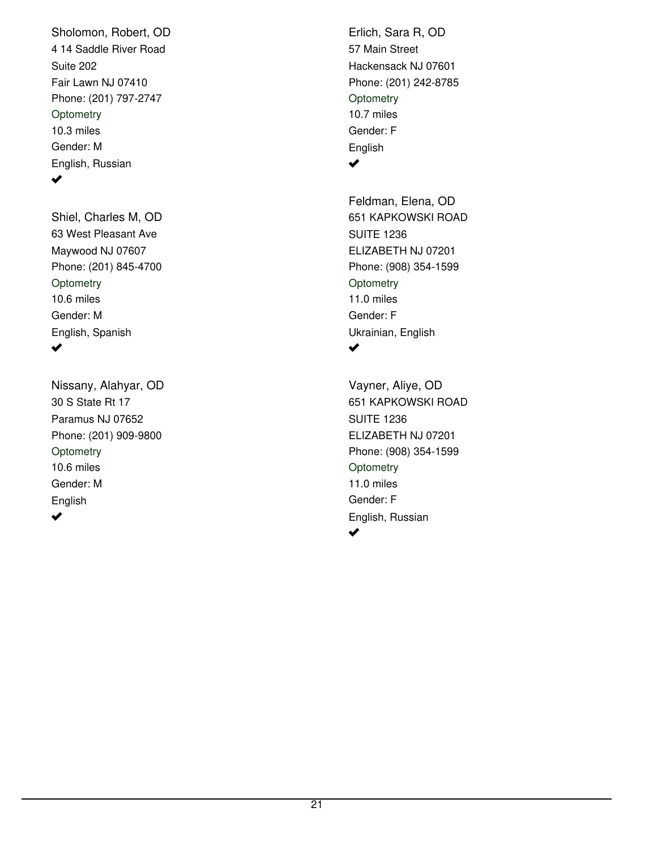4 14 Saddle River Road Fair Lawn NJ 07410 Phone: (201) 797-2747 Sholomon, Robert, OD 10.3 miles Gender: M English, Russian Suite 202 **Optometry**  $\blacktriangledown$ 

63 West Pleasant Ave Maywood NJ 07607 Phone: (201) 845-4700 Shiel, Charles M, OD 10.6 miles Gender: M English, Spanish **Optometry**  $\blacktriangledown$ 

30 S State Rt 17 Paramus NJ 07652 Phone: (201) 909-9800 Nissany, Alahyar, OD 10.6 miles Gender: M English **Optometry**  $\blacktriangledown$ 

57 Main Street Hackensack NJ 07601 Phone: (201) 242-8785 Erlich, Sara R, OD 10.7 miles Gender: F English **Optometry**  $\blacktriangledown$ 

651 KAPKOWSKI ROAD ELIZABETH NJ 07201 Phone: (908) 354-1599 Feldman, Elena, OD 11.0 miles Gender: F Ukrainian, English SUITE 1236 **Optometry**  $\blacktriangledown$ 

651 KAPKOWSKI ROAD ELIZABETH NJ 07201 Phone: (908) 354-1599 Vayner, Aliye, OD 11.0 miles Gender: F English, Russian SUITE 1236 **Optometry**  $\blacktriangledown$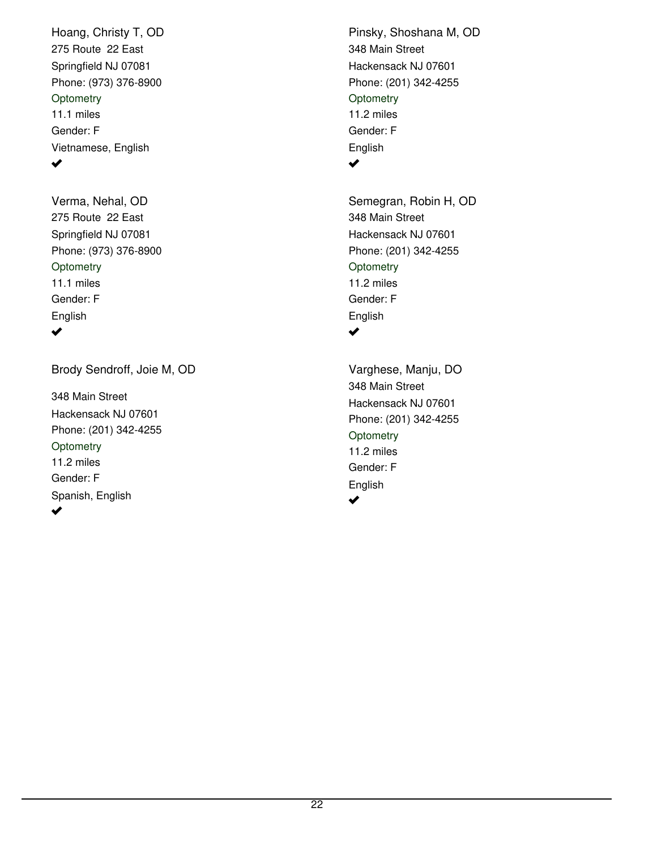275 Route 22 East Springfield NJ 07081 Phone: (973) 376-8900 Hoang, Christy T, OD 11.1 miles Gender: F Vietnamese, English **Optometry** ✔

275 Route 22 East Springfield NJ 07081 Phone: (973) 376-8900 Verma, Nehal, OD 11.1 miles Gender: F English **Optometry**  $\blacktriangledown$ 

Brody Sendroff, Joie M, OD

348 Main Street Hackensack NJ 07601 Phone: (201) 342-4255 11.2 miles Gender: F Spanish, English **Optometry** 

348 Main Street Hackensack NJ 07601 Phone: (201) 342-4255 Pinsky, Shoshana M, OD 11.2 miles Gender: F English **Optometry**  $\blacktriangledown$ 

348 Main Street Hackensack NJ 07601 Phone: (201) 342-4255 Semegran, Robin H, OD 11.2 miles Gender: F English **Optometry**  $\blacktriangledown$ 

348 Main Street Hackensack NJ 07601 Phone: (201) 342-4255 Varghese, Manju, DO 11.2 miles Gender: F English **Optometry** ✔

 $\blacktriangleright$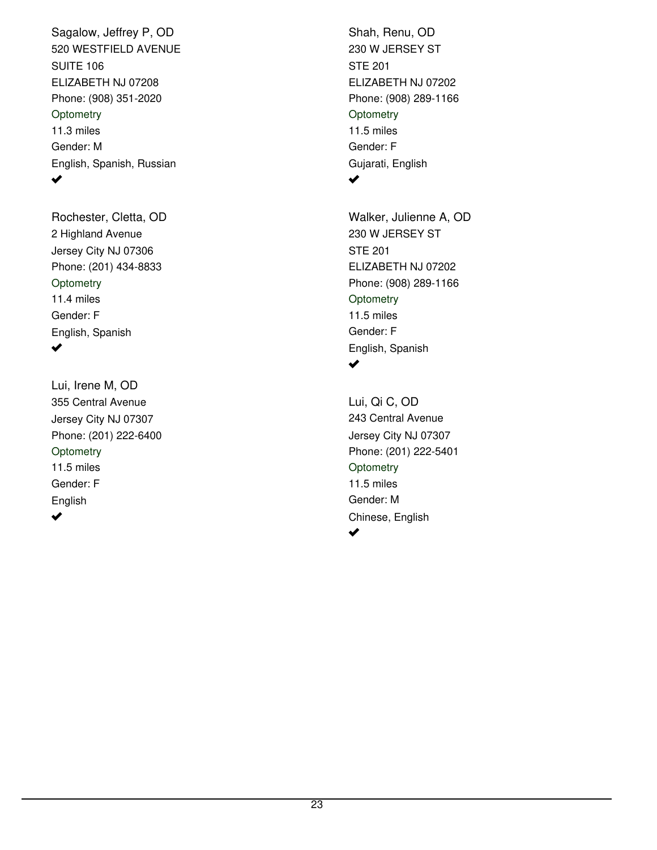520 WESTFIELD AVENUE ELIZABETH NJ 07208 Phone: (908) 351-2020 Sagalow, Jeffrey P, OD 11.3 miles Gender: M English, Spanish, Russian SUITE 106 **Optometry**  $\blacktriangledown$ 

2 Highland Avenue Jersey City NJ 07306 Phone: (201) 434-8833 Rochester, Cletta, OD 11.4 miles Gender: F English, Spanish **Optometry**  $\blacktriangledown$ 

355 Central Avenue Jersey City NJ 07307 Phone: (201) 222-6400 Lui, Irene M, OD 11.5 miles Gender: F English **Optometry**  $\blacktriangledown$ 

230 W JERSEY ST ELIZABETH NJ 07202 Phone: (908) 289-1166 Shah, Renu, OD 11.5 miles Gender: F Gujarati, English STE 201 **Optometry**  $\blacktriangledown$ 

230 W JERSEY ST ELIZABETH NJ 07202 Phone: (908) 289-1166 Walker, Julienne A, OD 11.5 miles Gender: F English, Spanish STE 201 **Optometry** ✔

243 Central Avenue Jersey City NJ 07307 Phone: (201) 222-5401 Lui, Qi C, OD 11.5 miles Gender: M Chinese, English **Optometry**  $\blacktriangledown$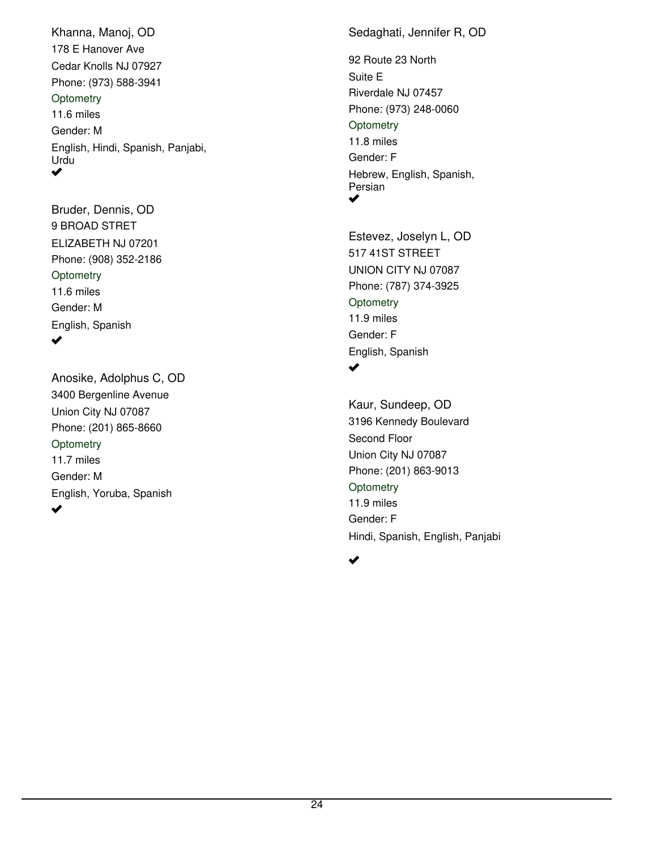178 E Hanover Ave Cedar Knolls NJ 07927 Phone: (973) 588-3941 Khanna, Manoj, OD 11.6 miles Gender: M English, Hindi, Spanish, Panjabi, Urdu **Optometry** ✔

9 BROAD STRET ELIZABETH NJ 07201 Phone: (908) 352-2186 Bruder, Dennis, OD 11.6 miles Gender: M English, Spanish **Optometry** ✔

3400 Bergenline Avenue Union City NJ 07087 Phone: (201) 865-8660 Anosike, Adolphus C, OD 11.7 miles Gender: M English, Yoruba, Spanish **Optometry**  $\blacktriangledown$ 

Sedaghati, Jennifer R, OD

92 Route 23 North Riverdale NJ 07457 Phone: (973) 248-0060 11.8 miles Gender: F Hebrew, English, Spanish, Persian Suite E **Optometry** ✔

517 41ST STREET UNION CITY NJ 07087 Phone: (787) 374-3925 Estevez, Joselyn L, OD 11.9 miles Gender: F English, Spanish **Optometry**  $\blacktriangledown$ 

3196 Kennedy Boulevard Union City NJ 07087 Phone: (201) 863-9013 Kaur, Sundeep, OD 11.9 miles Gender: F Hindi, Spanish, English, Panjabi Second Floor **Optometry** 

✔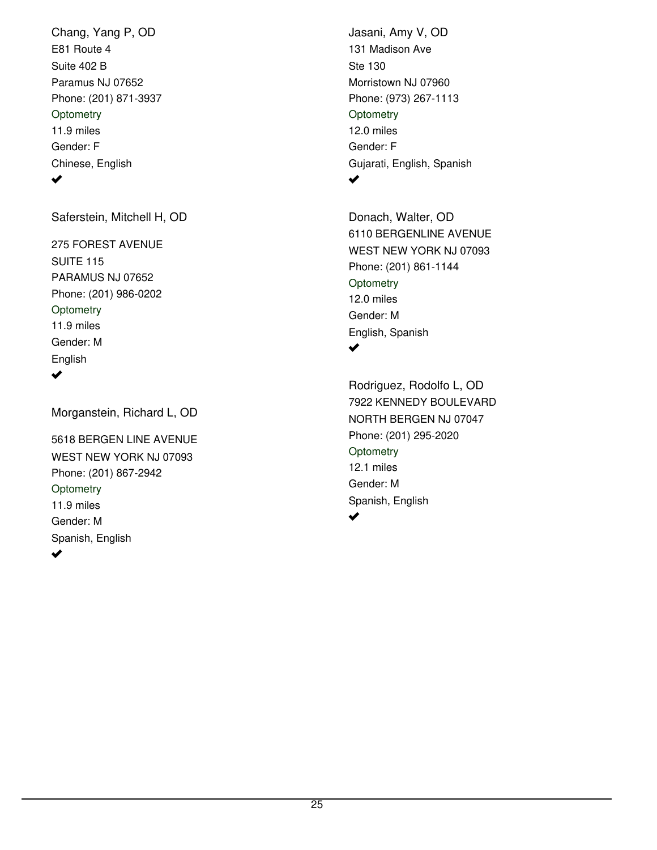E81 Route 4 Paramus NJ 07652 Phone: (201) 871-3937 Chang, Yang P, OD 11.9 miles Gender: F Chinese, English Suite 402 B **Optometry**  $\blacktriangledown$ 

Saferstein, Mitchell H, OD

275 FOREST AVENUE PARAMUS NJ 07652 Phone: (201) 986-0202 11.9 miles Gender: M English SUITE 115 **Optometry**  $\blacktriangledown$ 

Morganstein, Richard L, OD

5618 BERGEN LINE AVENUE WEST NEW YORK NJ 07093 Phone: (201) 867-2942 11.9 miles Gender: M Spanish, English **Optometry**  $\blacktriangledown$ 

131 Madison Ave Morristown NJ 07960 Phone: (973) 267-1113 Jasani, Amy V, OD 12.0 miles Gender: F Gujarati, English, Spanish Ste 130 **Optometry**  $\blacktriangledown$ 

6110 BERGENLINE AVENUE WEST NEW YORK NJ 07093 Phone: (201) 861-1144 Donach, Walter, OD 12.0 miles Gender: M English, Spanish **Optometry**  $\blacktriangledown$ 

7922 KENNEDY BOULEVARD NORTH BERGEN NJ 07047 Phone: (201) 295-2020 Rodriguez, Rodolfo L, OD 12.1 miles Gender: M Spanish, English **Optometry** ✔

25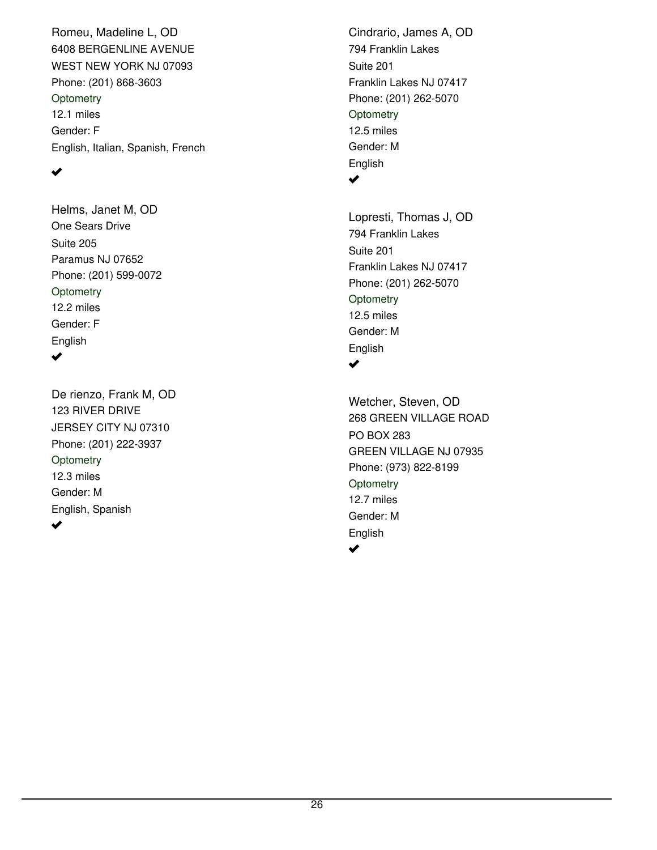6408 BERGENLINE AVENUE WEST NEW YORK NJ 07093 Phone: (201) 868-3603 Romeu, Madeline L, OD 12.1 miles Gender: F English, Italian, Spanish, French **Optometry** 

### $\blacktriangledown$

One Sears Drive Paramus NJ 07652 Phone: (201) 599-0072 Helms, Janet M, OD 12.2 miles Gender: F English Suite 205 **Optometry** 

 $\blacktriangledown$ 

123 RIVER DRIVE JERSEY CITY NJ 07310 Phone: (201) 222-3937 De rienzo, Frank M, OD 12.3 miles Gender: M English, Spanish **Optometry** ✔

794 Franklin Lakes Franklin Lakes NJ 07417 Phone: (201) 262-5070 Cindrario, James A, OD 12.5 miles Gender: M English Suite 201 **Optometry**  $\blacktriangledown$ 

794 Franklin Lakes Franklin Lakes NJ 07417 Phone: (201) 262-5070 Lopresti, Thomas J, OD 12.5 miles Gender: M English Suite 201 **Optometry** ✔

268 GREEN VILLAGE ROAD GREEN VILLAGE NJ 07935 Phone: (973) 822-8199 Wetcher, Steven, OD 12.7 miles Gender: M English PO BOX 283 **Optometry** مہ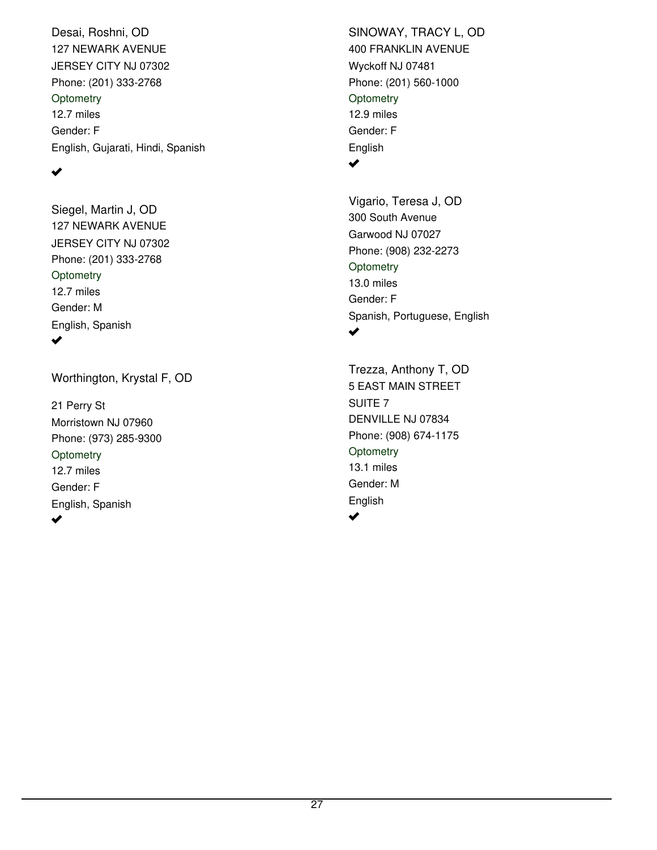127 NEWARK AVENUE JERSEY CITY NJ 07302 Phone: (201) 333-2768 Desai, Roshni, OD 12.7 miles Gender: F English, Gujarati, Hindi, Spanish **Optometry** 

### $\blacktriangledown$

127 NEWARK AVENUE JERSEY CITY NJ 07302 Phone: (201) 333-2768 Siegel, Martin J, OD 12.7 miles Gender: M English, Spanish **Optometry** 

✔

Worthington, Krystal F, OD

21 Perry St Morristown NJ 07960 Phone: (973) 285-9300 12.7 miles Gender: F English, Spanish **Optometry** 

400 FRANKLIN AVENUE Wyckoff NJ 07481 Phone: (201) 560-1000 SINOWAY, TRACY L, OD 12.9 miles Gender: F English **Optometry** 

 $\blacktriangledown$ 

300 South Avenue Garwood NJ 07027 Phone: (908) 232-2273 Vigario, Teresa J, OD 13.0 miles Gender: F Spanish, Portuguese, English **Optometry** ✔

5 EAST MAIN STREET DENVILLE NJ 07834 Phone: (908) 674-1175 Trezza, Anthony T, OD 13.1 miles Gender: M English SUITE 7 **Optometry**  $\blacktriangleright$ 

 $\blacktriangledown$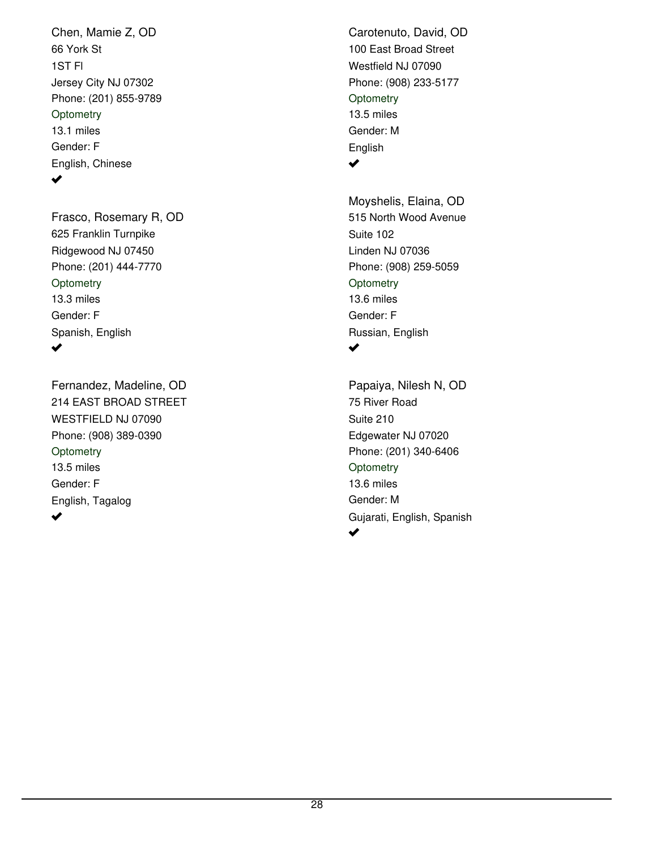66 York St Jersey City NJ 07302 Phone: (201) 855-9789 Chen, Mamie Z, OD 13.1 miles Gender: F English, Chinese 1ST Fl **Optometry**  $\blacktriangledown$ 

625 Franklin Turnpike Ridgewood NJ 07450 Phone: (201) 444-7770 Frasco, Rosemary R, OD 13.3 miles Gender: F Spanish, English **Optometry**  $\blacktriangledown$ 

214 EAST BROAD STREET WESTFIELD NJ 07090 Phone: (908) 389-0390 Fernandez, Madeline, OD 13.5 miles Gender: F English, Tagalog **Optometry** ✔

100 East Broad Street Westfield NJ 07090 Phone: (908) 233-5177 Carotenuto, David, OD 13.5 miles Gender: M English **Optometry**  $\blacktriangledown$ 

515 North Wood Avenue Linden NJ 07036 Phone: (908) 259-5059 Moyshelis, Elaina, OD 13.6 miles Gender: F Russian, English Suite 102 **Optometry**  $\blacktriangledown$ 

75 River Road Edgewater NJ 07020 Phone: (201) 340-6406 Papaiya, Nilesh N, OD 13.6 miles Gender: M Gujarati, English, Spanish Suite 210 **Optometry**  $\blacktriangledown$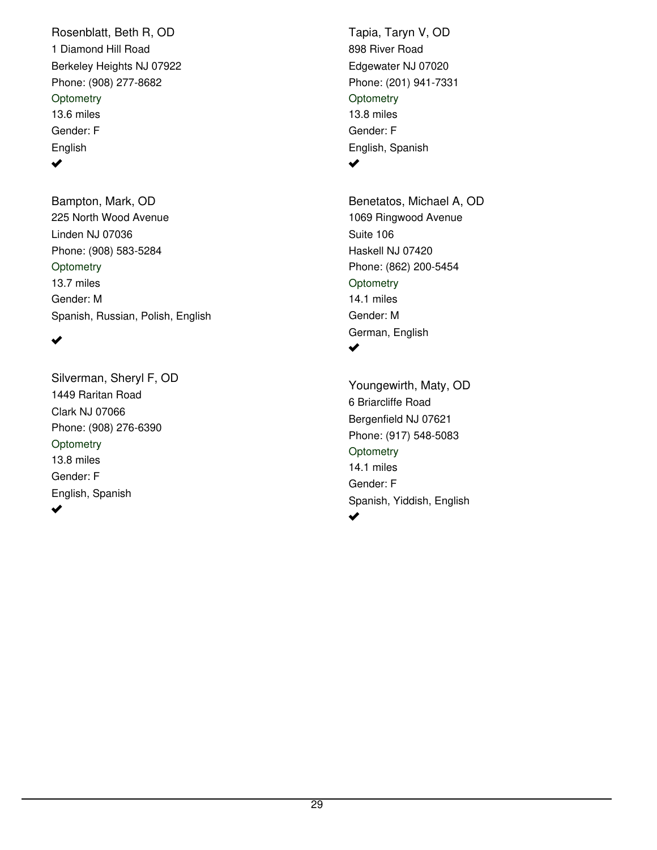1 Diamond Hill Road Berkeley Heights NJ 07922 Phone: (908) 277-8682 Rosenblatt, Beth R, OD 13.6 miles Gender: F English **Optometry** ✔

225 North Wood Avenue Linden NJ 07036 Phone: (908) 583-5284 Bampton, Mark, OD 13.7 miles Gender: M Spanish, Russian, Polish, English **Optometry** 

#### ✔

1449 Raritan Road Clark NJ 07066 Phone: (908) 276-6390 Silverman, Sheryl F, OD 13.8 miles Gender: F English, Spanish **Optometry**  $\blacktriangledown$ 

898 River Road Edgewater NJ 07020 Phone: (201) 941-7331 Tapia, Taryn V, OD 13.8 miles Gender: F English, Spanish **Optometry**  $\blacktriangledown$ 

1069 Ringwood Avenue Haskell NJ 07420 Phone: (862) 200-5454 Benetatos, Michael A, OD 14.1 miles Gender: M German, English Suite 106 **Optometry**  $\blacktriangledown$ 

6 Briarcliffe Road Bergenfield NJ 07621 Phone: (917) 548-5083 Youngewirth, Maty, OD 14.1 miles Gender: F Spanish, Yiddish, English **Optometry** ✔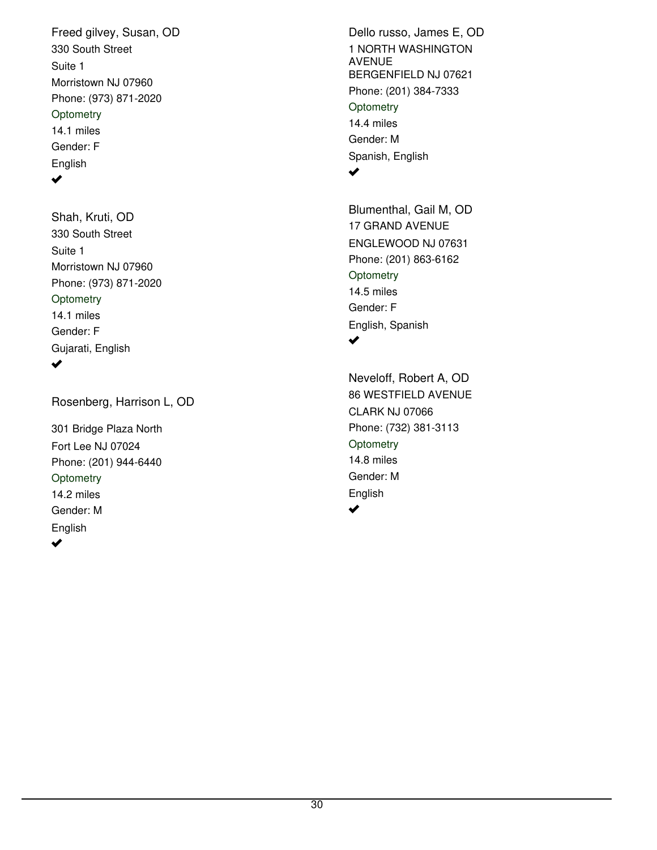330 South Street Morristown NJ 07960 Phone: (973) 871-2020 Freed gilvey, Susan, OD 14.1 miles Gender: F English Suite 1 **Optometry** 

#### $\blacktriangledown$

330 South Street Morristown NJ 07960 Phone: (973) 871-2020 Shah, Kruti, OD 14.1 miles Gender: F Gujarati, English Suite 1 **Optometry** ✔

Rosenberg, Harrison L, OD

301 Bridge Plaza North Fort Lee NJ 07024 Phone: (201) 944-6440 14.2 miles Gender: M English **Optometry**  $\blacktriangledown$ 

1 NORTH WASHINGTON AVENUE BERGENFIELD NJ 07621 Phone: (201) 384-7333 Dello russo, James E, OD 14.4 miles Gender: M Spanish, English **Optometry**  $\blacktriangledown$ 

17 GRAND AVENUE ENGLEWOOD NJ 07631 Phone: (201) 863-6162 Blumenthal, Gail M, OD 14.5 miles Gender: F English, Spanish **Optometry** ✔

86 WESTFIELD AVENUE CLARK NJ 07066 Phone: (732) 381-3113 Neveloff, Robert A, OD 14.8 miles Gender: M English **Optometry**  $\blacktriangledown$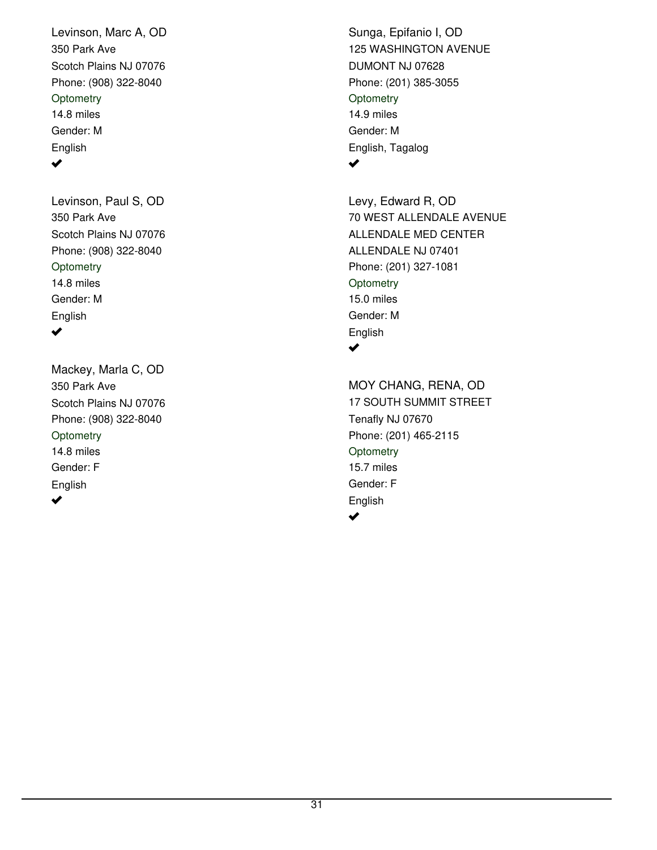350 Park Ave Scotch Plains NJ 07076 Phone: (908) 322-8040 Levinson, Marc A, OD 14.8 miles Gender: M English **Optometry**  $\blacktriangledown$ 

350 Park Ave Scotch Plains NJ 07076 Phone: (908) 322-8040 Levinson, Paul S, OD 14.8 miles Gender: M English **Optometry**  $\blacktriangledown$ 

350 Park Ave Scotch Plains NJ 07076 Phone: (908) 322-8040 Mackey, Marla C, OD 14.8 miles Gender: F English **Optometry** ✔

125 WASHINGTON AVENUE DUMONT NJ 07628 Phone: (201) 385-3055 Sunga, Epifanio I, OD 14.9 miles Gender: M English, Tagalog **Optometry**  $\blacktriangledown$ 

70 WEST ALLENDALE AVENUE ALLENDALE NJ 07401 Phone: (201) 327-1081 Levy, Edward R, OD 15.0 miles Gender: M English ALLENDALE MED CENTER **Optometry**  $\blacktriangledown$ 

17 SOUTH SUMMIT STREET Tenafly NJ 07670 Phone: (201) 465-2115 MOY CHANG, RENA, OD 15.7 miles Gender: F English **Optometry**  $\blacktriangledown$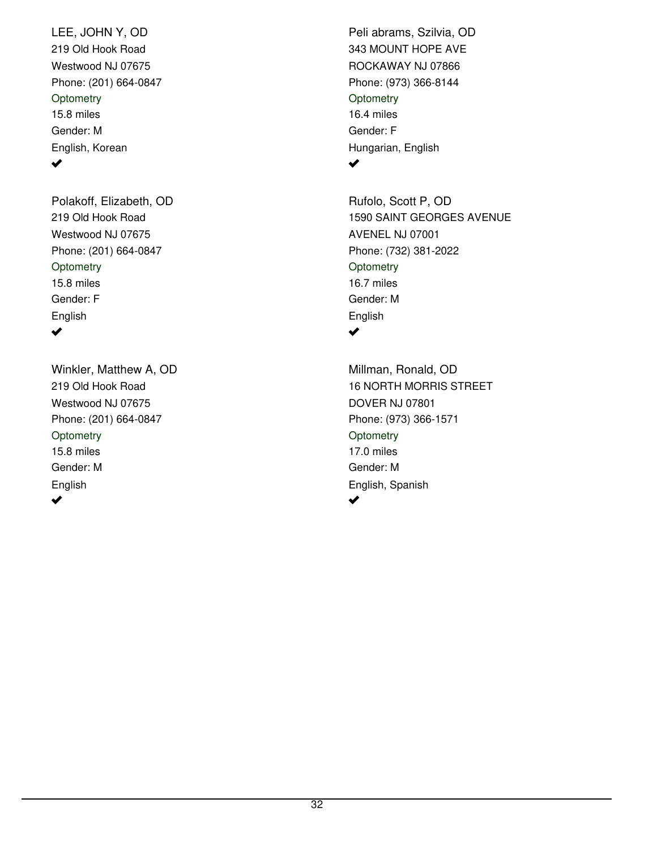219 Old Hook Road Westwood NJ 07675 Phone: (201) 664-0847 LEE, JOHN Y, OD 15.8 miles Gender: M English, Korean **Optometry**  $\blacktriangledown$ 

219 Old Hook Road Westwood NJ 07675 Phone: (201) 664-0847 Polakoff, Elizabeth, OD 15.8 miles Gender: F English **Optometry**  $\blacktriangledown$ 

219 Old Hook Road Westwood NJ 07675 Phone: (201) 664-0847 Winkler, Matthew A, OD 15.8 miles Gender: M English **Optometry** ✔

343 MOUNT HOPE AVE ROCKAWAY NJ 07866 Phone: (973) 366-8144 Peli abrams, Szilvia, OD 16.4 miles Gender: F Hungarian, English **Optometry**  $\blacktriangledown$ 

1590 SAINT GEORGES AVENUE AVENEL NJ 07001 Phone: (732) 381-2022 Rufolo, Scott P, OD 16.7 miles Gender: M English **Optometry** ✔

16 NORTH MORRIS STREET DOVER NJ 07801 Phone: (973) 366-1571 Millman, Ronald, OD 17.0 miles Gender: M English, Spanish **Optometry** مہ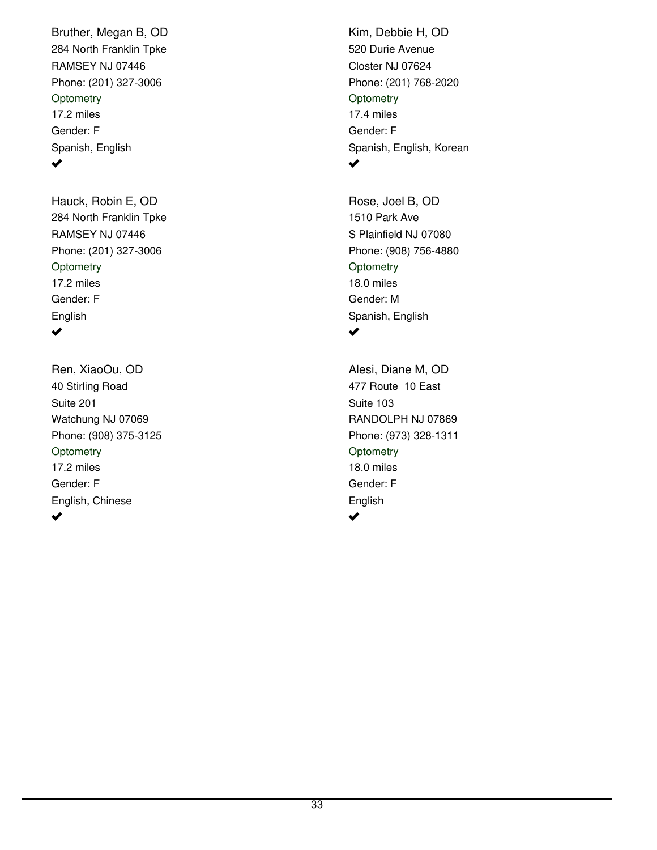284 North Franklin Tpke RAMSEY NJ 07446 Phone: (201) 327-3006 Bruther, Megan B, OD 17.2 miles Gender: F Spanish, English **Optometry** ✔

284 North Franklin Tpke RAMSEY NJ 07446 Phone: (201) 327-3006 Hauck, Robin E, OD 17.2 miles Gender: F English **Optometry**  $\blacktriangledown$ 

40 Stirling Road Watchung NJ 07069 Phone: (908) 375-3125 Ren, XiaoOu, OD 17.2 miles Gender: F English, Chinese Suite 201 **Optometry** 

520 Durie Avenue Closter NJ 07624 Phone: (201) 768-2020 Kim, Debbie H, OD 17.4 miles Gender: F Spanish, English, Korean **Optometry**  $\blacktriangledown$ 

1510 Park Ave S Plainfield NJ 07080 Phone: (908) 756-4880 Rose, Joel B, OD 18.0 miles Gender: M Spanish, English **Optometry** مہ

477 Route 10 East RANDOLPH NJ 07869 Phone: (973) 328-1311 Alesi, Diane M, OD 18.0 miles Gender: F English Suite 103 **Optometry**  $\blacktriangledown$ 

 $\blacktriangledown$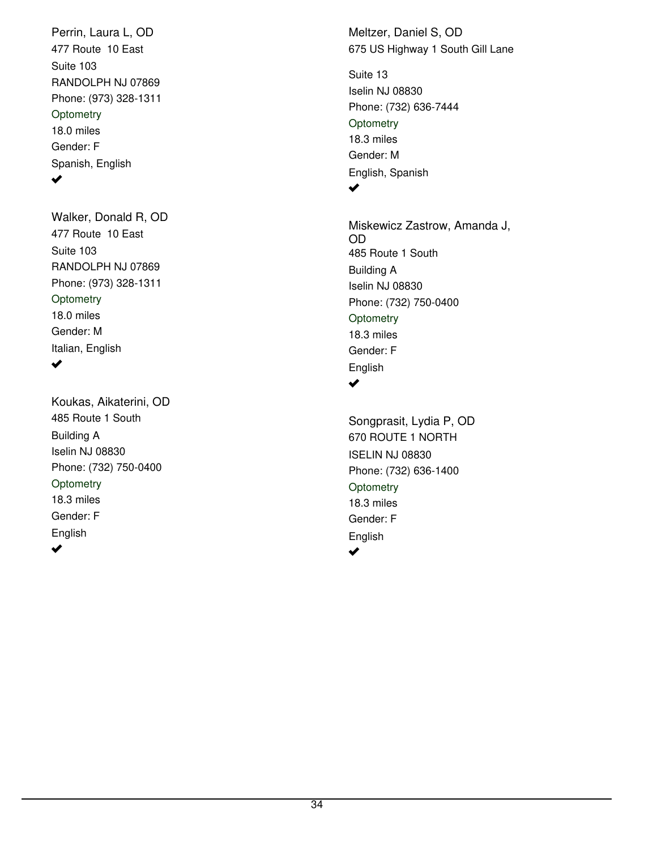477 Route 10 East RANDOLPH NJ 07869 Phone: (973) 328-1311 Perrin, Laura L, OD 18.0 miles Gender: F Spanish, English Suite 103 **Optometry**  $\blacktriangledown$ 

477 Route 10 East RANDOLPH NJ 07869 Phone: (973) 328-1311 Walker, Donald R, OD 18.0 miles Gender: M Italian, English Suite 103 **Optometry** ✔

485 Route 1 South Iselin NJ 08830 Phone: (732) 750-0400 Koukas, Aikaterini, OD 18.3 miles Gender: F English Building A **Optometry**  $\blacktriangledown$ 

675 US Highway 1 South Gill Lane Meltzer, Daniel S, OD

Iselin NJ 08830 Phone: (732) 636-7444 18.3 miles Gender: M English, Spanish Suite 13 **Optometry**  $\blacktriangledown$ 

485 Route 1 South Iselin NJ 08830 Phone: (732) 750-0400 Miskewicz Zastrow, Amanda J, OD 18.3 miles Gender: F English Building A **Optometry**  $\blacktriangledown$ 

670 ROUTE 1 NORTH ISELIN NJ 08830 Phone: (732) 636-1400 Songprasit, Lydia P, OD 18.3 miles Gender: F English **Optometry**  $\blacktriangledown$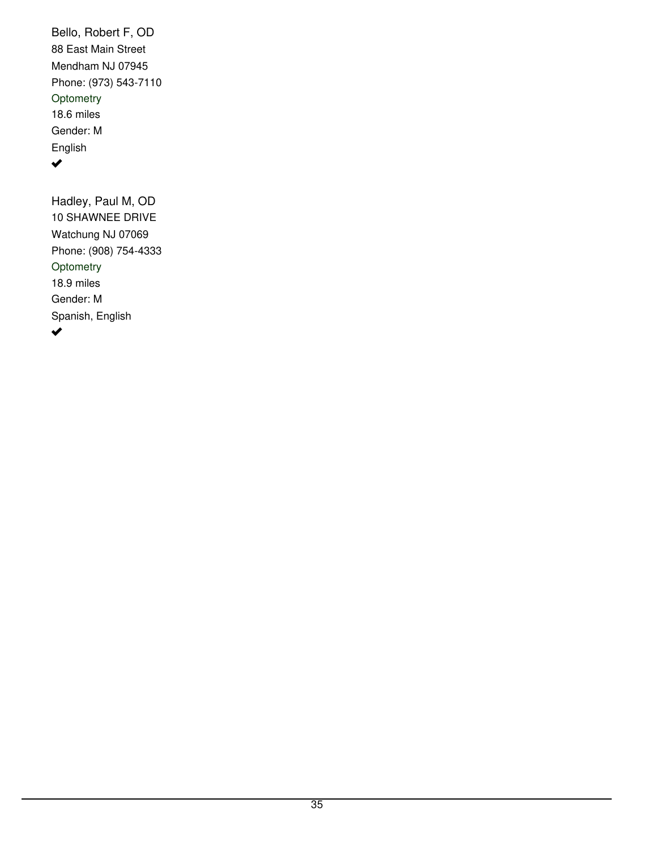88 East Main Street Mendham NJ 07945 Phone: (973) 543-7110 Bello, Robert F, OD 18.6 miles Gender: M English **Optometry**  $\blacktriangledown$ 

10 SHAWNEE DRIVE Watchung NJ 07069 Phone: (908) 754-4333 Hadley, Paul M, OD 18.9 miles Gender: M Spanish, English **Optometry**  $\blacktriangledown$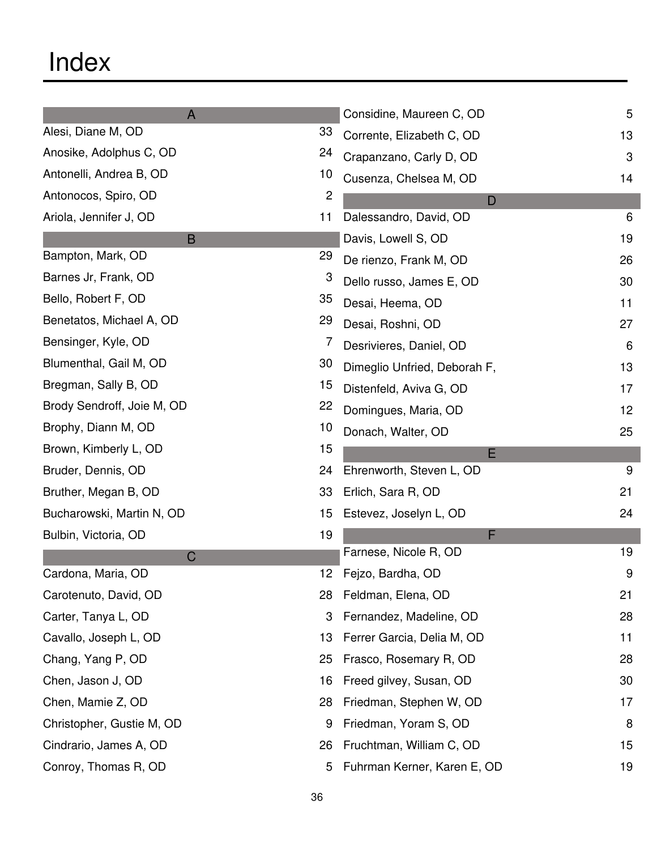| $\mathsf{A}$               |                 | Considine, Maureen C, OD     | 5  |
|----------------------------|-----------------|------------------------------|----|
| Alesi, Diane M, OD         | 33              | Corrente, Elizabeth C, OD    | 13 |
| Anosike, Adolphus C, OD    | 24              | Crapanzano, Carly D, OD      | 3  |
| Antonelli, Andrea B, OD    | 10              | Cusenza, Chelsea M, OD       | 14 |
| Antonocos, Spiro, OD       | 2               | D                            |    |
| Ariola, Jennifer J, OD     | 11              | Dalessandro, David, OD       | 6  |
| B                          |                 | Davis, Lowell S, OD          | 19 |
| Bampton, Mark, OD          | 29              | De rienzo, Frank M, OD       | 26 |
| Barnes Jr, Frank, OD       | 3               | Dello russo, James E, OD     | 30 |
| Bello, Robert F, OD        | 35              | Desai, Heema, OD             | 11 |
| Benetatos, Michael A, OD   | 29              | Desai, Roshni, OD            | 27 |
| Bensinger, Kyle, OD        | 7               | Desrivieres, Daniel, OD      | 6  |
| Blumenthal, Gail M, OD     | 30              | Dimeglio Unfried, Deborah F, | 13 |
| Bregman, Sally B, OD       | 15              | Distenfeld, Aviva G, OD      | 17 |
| Brody Sendroff, Joie M, OD | 22              | Domingues, Maria, OD         | 12 |
| Brophy, Diann M, OD        | 10              | Donach, Walter, OD           | 25 |
| Brown, Kimberly L, OD      | 15              | E                            |    |
| Bruder, Dennis, OD         | 24              | Ehrenworth, Steven L, OD     | 9  |
| Bruther, Megan B, OD       | 33              | Erlich, Sara R, OD           | 21 |
| Bucharowski, Martin N, OD  | 15              | Estevez, Joselyn L, OD       | 24 |
| Bulbin, Victoria, OD       | 19              | F                            |    |
| C                          |                 | Farnese, Nicole R, OD        | 19 |
| Cardona, Maria, OD         | 12 <sub>2</sub> | Fejzo, Bardha, OD            | 9  |
| Carotenuto, David, OD      | 28              | Feldman, Elena, OD           | 21 |
| Carter, Tanya L, OD        | 3               | Fernandez, Madeline, OD      | 28 |
| Cavallo, Joseph L, OD      | 13              | Ferrer Garcia, Delia M, OD   | 11 |
| Chang, Yang P, OD          | 25              | Frasco, Rosemary R, OD       | 28 |
| Chen, Jason J, OD          | 16              | Freed gilvey, Susan, OD      | 30 |
| Chen, Mamie Z, OD          | 28              | Friedman, Stephen W, OD      | 17 |
| Christopher, Gustie M, OD  | 9               | Friedman, Yoram S, OD        | 8  |
| Cindrario, James A, OD     | 26              | Fruchtman, William C, OD     | 15 |
| Conroy, Thomas R, OD       | 5               | Fuhrman Kerner, Karen E, OD  | 19 |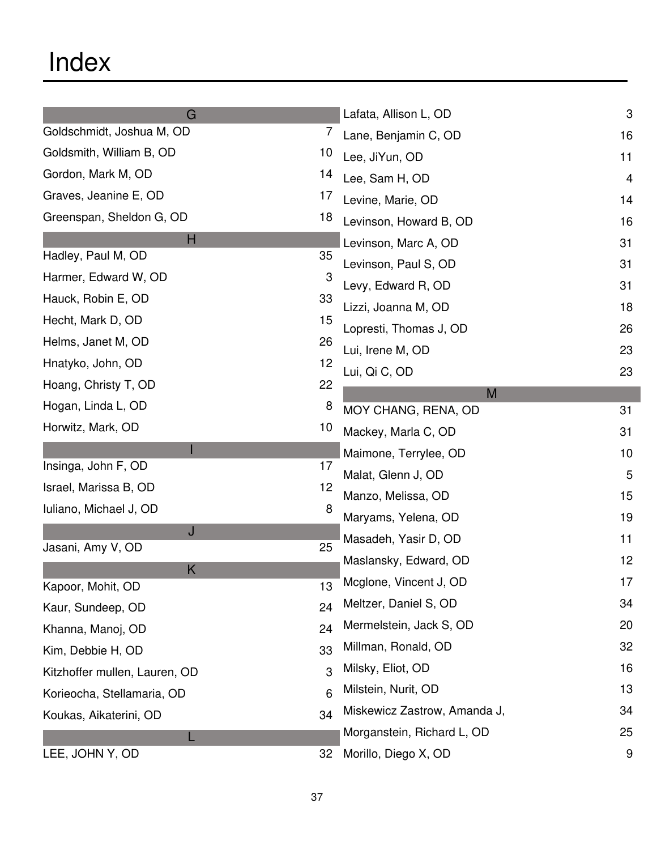| G                                           | Lafata, Allison L, OD        | 3  |
|---------------------------------------------|------------------------------|----|
| Goldschmidt, Joshua M, OD<br>7              | Lane, Benjamin C, OD         | 16 |
| Goldsmith, William B, OD<br>10 <sup>°</sup> | Lee, JiYun, OD               | 11 |
| Gordon, Mark M, OD<br>14                    | Lee, Sam H, OD               | 4  |
| Graves, Jeanine E, OD<br>17                 | Levine, Marie, OD            | 14 |
| Greenspan, Sheldon G, OD<br>18              | Levinson, Howard B, OD       | 16 |
| н                                           | Levinson, Marc A, OD         | 31 |
| Hadley, Paul M, OD<br>35                    | Levinson, Paul S, OD         | 31 |
| Harmer, Edward W, OD<br>З                   | Levy, Edward R, OD           | 31 |
| Hauck, Robin E, OD<br>33                    | Lizzi, Joanna M, OD          | 18 |
| Hecht, Mark D, OD<br>15                     | Lopresti, Thomas J, OD       | 26 |
| Helms, Janet M, OD<br>26                    | Lui, Irene M, OD             | 23 |
| Hnatyko, John, OD<br>12                     | Lui, Qi C, OD                | 23 |
| Hoang, Christy T, OD<br>22                  | M                            |    |
| Hogan, Linda L, OD<br>8                     | MOY CHANG, RENA, OD          | 31 |
| Horwitz, Mark, OD<br>10 <sup>°</sup>        | Mackey, Marla C, OD          | 31 |
|                                             | Maimone, Terrylee, OD        | 10 |
| Insinga, John F, OD<br>17                   | Malat, Glenn J, OD           | 5  |
| Israel, Marissa B, OD<br>12                 | Manzo, Melissa, OD           | 15 |
| Iuliano, Michael J, OD<br>8                 | Maryams, Yelena, OD          | 19 |
| J                                           | Masadeh, Yasir D, OD         | 11 |
| 25<br>Jasani, Amy V, OD                     | Maslansky, Edward, OD        | 12 |
| Κ<br>Kapoor, Mohit, OD<br>13                | Mcglone, Vincent J, OD       | 17 |
| 24<br>Kaur, Sundeep, OD                     | Meltzer, Daniel S, OD        | 34 |
| 24<br>Khanna, Manoj, OD                     | Mermelstein, Jack S, OD      | 20 |
| 33<br>Kim, Debbie H, OD                     | Millman, Ronald, OD          | 32 |
| 3<br>Kitzhoffer mullen, Lauren, OD          | Milsky, Eliot, OD            | 16 |
| 6<br>Korieocha, Stellamaria, OD             | Milstein, Nurit, OD          | 13 |
| 34                                          | Miskewicz Zastrow, Amanda J, | 34 |
| Koukas, Aikaterini, OD                      | Morganstein, Richard L, OD   | 25 |
| L<br>LEE, JOHN Y, OD<br>32                  | Morillo, Diego X, OD         | 9  |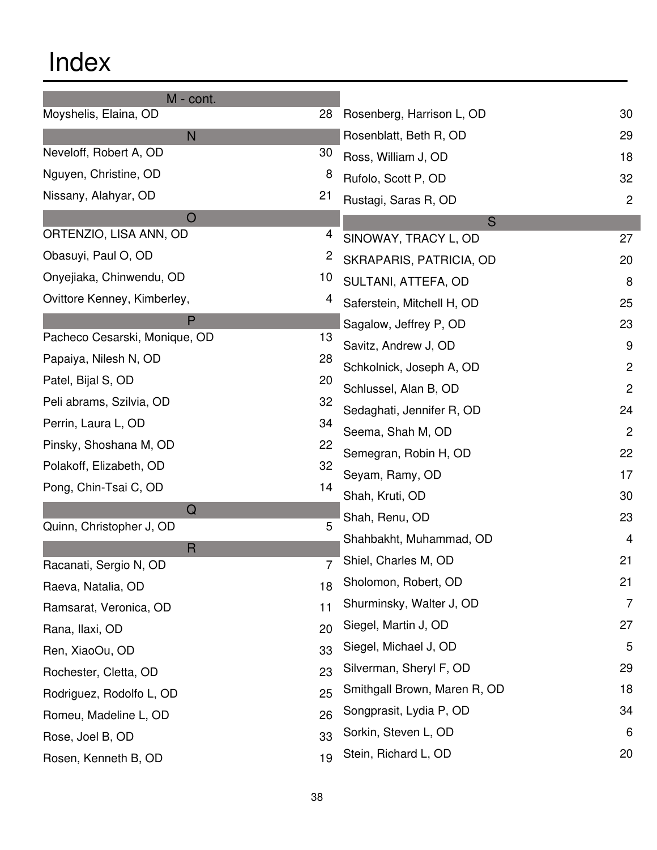| M - cont.                              |              |                              |                |
|----------------------------------------|--------------|------------------------------|----------------|
| Moyshelis, Elaina, OD                  | 28           | Rosenberg, Harrison L, OD    | 30             |
| N                                      |              | Rosenblatt, Beth R, OD       | 29             |
| Neveloff, Robert A, OD                 | 30           | Ross, William J, OD          | 18             |
| Nguyen, Christine, OD                  | 8            | Rufolo, Scott P, OD          | 32             |
| Nissany, Alahyar, OD                   | 21           | Rustagi, Saras R, OD         | $\overline{2}$ |
| O                                      |              | S                            |                |
| ORTENZIO, LISA ANN, OD                 | 4            | SINOWAY, TRACY L, OD         | 27             |
| Obasuyi, Paul O, OD                    | $\mathbf{2}$ | SKRAPARIS, PATRICIA, OD      | 20             |
| Onyejiaka, Chinwendu, OD               | 10           | SULTANI, ATTEFA, OD          | 8              |
| Ovittore Kenney, Kimberley,            | 4            | Saferstein, Mitchell H, OD   | 25             |
| P                                      |              | Sagalow, Jeffrey P, OD       | 23             |
| Pacheco Cesarski, Monique, OD          | 13           | Savitz, Andrew J, OD         | 9              |
| Papaiya, Nilesh N, OD                  | 28           | Schkolnick, Joseph A, OD     | 2              |
| Patel, Bijal S, OD                     | 20           | Schlussel, Alan B, OD        | 2              |
| Peli abrams, Szilvia, OD               | 32           | Sedaghati, Jennifer R, OD    | 24             |
| Perrin, Laura L, OD                    | 34           | Seema, Shah M, OD            | $\overline{c}$ |
| Pinsky, Shoshana M, OD                 | 22           | Semegran, Robin H, OD        | 22             |
| Polakoff, Elizabeth, OD                | 32           | Seyam, Ramy, OD              | 17             |
| Pong, Chin-Tsai C, OD                  | 14           | Shah, Kruti, OD              | 30             |
| $\mathsf Q$                            |              | Shah, Renu, OD               | 23             |
| Quinn, Christopher J, OD               | 5            | Shahbakht, Muhammad, OD      | 4              |
| $\mathsf{R}$<br>Racanati, Sergio N, OD | 7            | Shiel, Charles M, OD         | 21             |
| Raeva, Natalia, OD                     | 18           | Sholomon, Robert, OD         | 21             |
| Ramsarat, Veronica, OD                 | 11           | Shurminsky, Walter J, OD     | 7              |
| Rana, Ilaxi, OD                        | 20           | Siegel, Martin J, OD         | 27             |
| Ren, XiaoOu, OD                        | 33           | Siegel, Michael J, OD        | 5              |
| Rochester, Cletta, OD                  | 23           | Silverman, Sheryl F, OD      | 29             |
| Rodriguez, Rodolfo L, OD               | 25           | Smithgall Brown, Maren R, OD | 18             |
| Romeu, Madeline L, OD                  | 26           | Songprasit, Lydia P, OD      | 34             |
| Rose, Joel B, OD                       | 33           | Sorkin, Steven L, OD         | 6              |
| Rosen, Kenneth B, OD                   | 19           | Stein, Richard L, OD         | 20             |